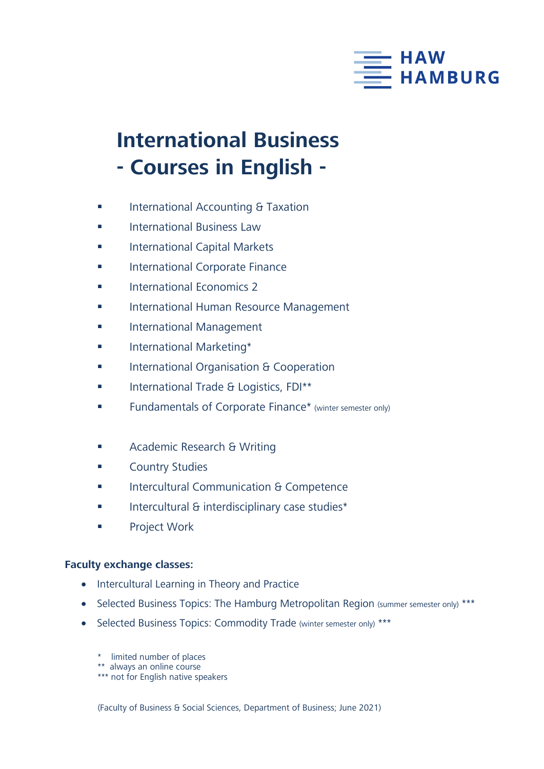

## **International Business - Courses in English -**

- **International Accounting & Taxation**
- **International Business Law**
- **International Capital Markets**
- International Corporate Finance
- International Economics 2
- **International Human Resource Management**
- **International Management**
- **International Marketing\***
- International Organisation & Cooperation
- **International Trade & Logistics, FDI\*\***
- **Fundamentals of Corporate Finance**\* (winter semester only)
- **Academic Research & Writing**
- **Example 2** Country Studies
- **Intercultural Communication & Competence**
- Intercultural & interdisciplinary case studies\*
- Project Work

## **Faculty exchange classes:**

- Intercultural Learning in Theory and Practice
- Selected Business Topics: The Hamburg Metropolitan Region (summer semester only) \*\*\*
- Selected Business Topics: Commodity Trade (winter semester only) \*\*\*
	- \* limited number of places
	- \*\* always an online course
	- \*\*\* not for English native speakers

(Faculty of Business & Social Sciences, Department of Business; June 2021)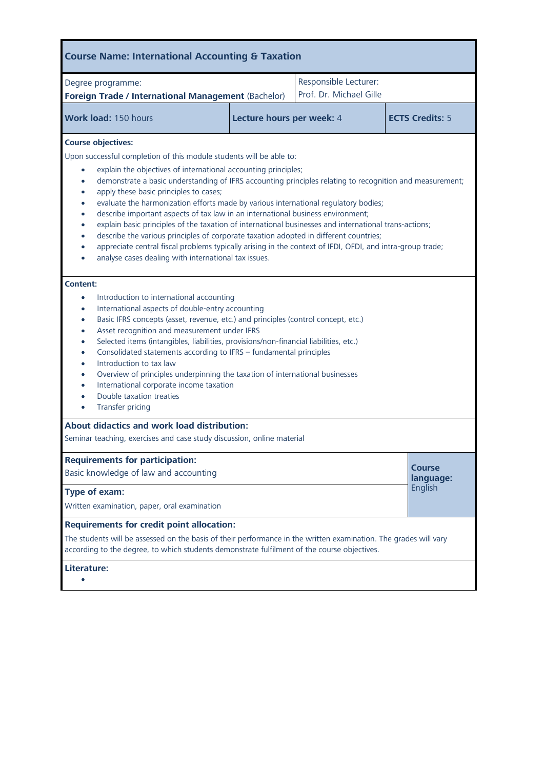| Degree programme:<br>Foreign Trade / International Management (Bachelor)                                                                                                                                                                                                                                                                                                                                                                                                                                                                                                                                                                                                                                                                                                                                                                                                                                                                                                                                                                                                                                                                                                                                                                                                                                                                                                                                                                                                                                                                                                                                                                                                                                                                                                                        |                           | Responsible Lecturer:<br>Prof. Dr. Michael Gille |                            |
|-------------------------------------------------------------------------------------------------------------------------------------------------------------------------------------------------------------------------------------------------------------------------------------------------------------------------------------------------------------------------------------------------------------------------------------------------------------------------------------------------------------------------------------------------------------------------------------------------------------------------------------------------------------------------------------------------------------------------------------------------------------------------------------------------------------------------------------------------------------------------------------------------------------------------------------------------------------------------------------------------------------------------------------------------------------------------------------------------------------------------------------------------------------------------------------------------------------------------------------------------------------------------------------------------------------------------------------------------------------------------------------------------------------------------------------------------------------------------------------------------------------------------------------------------------------------------------------------------------------------------------------------------------------------------------------------------------------------------------------------------------------------------------------------------|---------------------------|--------------------------------------------------|----------------------------|
| Work load: 150 hours                                                                                                                                                                                                                                                                                                                                                                                                                                                                                                                                                                                                                                                                                                                                                                                                                                                                                                                                                                                                                                                                                                                                                                                                                                                                                                                                                                                                                                                                                                                                                                                                                                                                                                                                                                            | Lecture hours per week: 4 |                                                  | <b>ECTS Credits: 5</b>     |
| <b>Course objectives:</b><br>Upon successful completion of this module students will be able to:<br>explain the objectives of international accounting principles;<br>demonstrate a basic understanding of IFRS accounting principles relating to recognition and measurement;<br>$\bullet$<br>apply these basic principles to cases;<br>$\bullet$<br>evaluate the harmonization efforts made by various international regulatory bodies;<br>$\bullet$<br>describe important aspects of tax law in an international business environment;<br>$\bullet$<br>explain basic principles of the taxation of international businesses and international trans-actions;<br>$\bullet$<br>describe the various principles of corporate taxation adopted in different countries;<br>$\bullet$<br>appreciate central fiscal problems typically arising in the context of IFDI, OFDI, and intra-group trade;<br>$\bullet$<br>analyse cases dealing with international tax issues.<br>Content:<br>Introduction to international accounting<br>$\bullet$<br>International aspects of double-entry accounting<br>$\bullet$<br>Basic IFRS concepts (asset, revenue, etc.) and principles (control concept, etc.)<br>$\bullet$<br>Asset recognition and measurement under IFRS<br>$\bullet$<br>Selected items (intangibles, liabilities, provisions/non-financial liabilities, etc.)<br>$\bullet$<br>Consolidated statements according to IFRS - fundamental principles<br>$\bullet$<br>Introduction to tax law<br>$\bullet$<br>Overview of principles underpinning the taxation of international businesses<br>$\bullet$<br>International corporate income taxation<br>$\bullet$<br>Double taxation treaties<br>$\bullet$<br>Transfer pricing<br>$\bullet$<br><b>About didactics and work load distribution:</b> |                           |                                                  |                            |
| Seminar teaching, exercises and case study discussion, online material<br><b>Requirements for participation:</b><br>Basic knowledge of law and accounting                                                                                                                                                                                                                                                                                                                                                                                                                                                                                                                                                                                                                                                                                                                                                                                                                                                                                                                                                                                                                                                                                                                                                                                                                                                                                                                                                                                                                                                                                                                                                                                                                                       |                           |                                                  | <b>Course</b><br>language: |
| Type of exam:<br>Written examination, paper, oral examination                                                                                                                                                                                                                                                                                                                                                                                                                                                                                                                                                                                                                                                                                                                                                                                                                                                                                                                                                                                                                                                                                                                                                                                                                                                                                                                                                                                                                                                                                                                                                                                                                                                                                                                                   |                           |                                                  | English                    |
| <b>Requirements for credit point allocation:</b><br>The students will be assessed on the basis of their performance in the written examination. The grades will vary<br>according to the degree, to which students demonstrate fulfilment of the course objectives.                                                                                                                                                                                                                                                                                                                                                                                                                                                                                                                                                                                                                                                                                                                                                                                                                                                                                                                                                                                                                                                                                                                                                                                                                                                                                                                                                                                                                                                                                                                             |                           |                                                  |                            |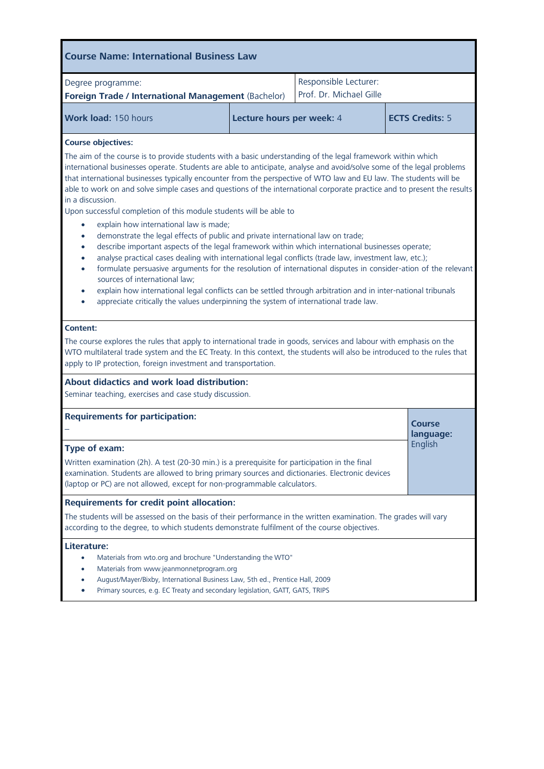| Degree programme:<br>Foreign Trade / International Management (Bachelor)                                                                                                                                                                                                                                                                                                                                                                                                                                                                                                                                                                                                                                                                                                                                                                                                                                                                                                                                                                                                                                                                                                                                                                                                                                                                                                                                                                                                                                                                                                                              |                                                                              | Responsible Lecturer:<br>Prof. Dr. Michael Gille                             |                        |
|-------------------------------------------------------------------------------------------------------------------------------------------------------------------------------------------------------------------------------------------------------------------------------------------------------------------------------------------------------------------------------------------------------------------------------------------------------------------------------------------------------------------------------------------------------------------------------------------------------------------------------------------------------------------------------------------------------------------------------------------------------------------------------------------------------------------------------------------------------------------------------------------------------------------------------------------------------------------------------------------------------------------------------------------------------------------------------------------------------------------------------------------------------------------------------------------------------------------------------------------------------------------------------------------------------------------------------------------------------------------------------------------------------------------------------------------------------------------------------------------------------------------------------------------------------------------------------------------------------|------------------------------------------------------------------------------|------------------------------------------------------------------------------|------------------------|
| Work load: 150 hours                                                                                                                                                                                                                                                                                                                                                                                                                                                                                                                                                                                                                                                                                                                                                                                                                                                                                                                                                                                                                                                                                                                                                                                                                                                                                                                                                                                                                                                                                                                                                                                  | Lecture hours per week: 4                                                    |                                                                              | <b>ECTS Credits: 5</b> |
| The aim of the course is to provide students with a basic understanding of the legal framework within which<br>international businesses operate. Students are able to anticipate, analyse and avoid/solve some of the legal problems<br>that international businesses typically encounter from the perspective of WTO law and EU law. The students will be<br>able to work on and solve simple cases and questions of the international corporate practice and to present the results<br>in a discussion.<br>Upon successful completion of this module students will be able to<br>explain how international law is made;<br>$\bullet$<br>demonstrate the legal effects of public and private international law on trade;<br>$\bullet$<br>describe important aspects of the legal framework within which international businesses operate;<br>$\bullet$<br>analyse practical cases dealing with international legal conflicts (trade law, investment law, etc.);<br>formulate persuasive arguments for the resolution of international disputes in consider-ation of the relevant<br>$\bullet$<br>sources of international law;<br>explain how international legal conflicts can be settled through arbitration and in inter-national tribunals<br>appreciate critically the values underpinning the system of international trade law.<br>Content:<br>The course explores the rules that apply to international trade in goods, services and labour with emphasis on the<br>WTO multilateral trade system and the EC Treaty. In this context, the students will also be introduced to the rules that |                                                                              |                                                                              |                        |
| apply to IP protection, foreign investment and transportation.<br>About didactics and work load distribution:<br>Seminar teaching, exercises and case study discussion.                                                                                                                                                                                                                                                                                                                                                                                                                                                                                                                                                                                                                                                                                                                                                                                                                                                                                                                                                                                                                                                                                                                                                                                                                                                                                                                                                                                                                               |                                                                              |                                                                              |                        |
| <b>Requirements for participation:</b>                                                                                                                                                                                                                                                                                                                                                                                                                                                                                                                                                                                                                                                                                                                                                                                                                                                                                                                                                                                                                                                                                                                                                                                                                                                                                                                                                                                                                                                                                                                                                                |                                                                              |                                                                              | Course<br>language:    |
| Type of exam:<br>Written examination (2h). A test (20-30 min.) is a prerequisite for participation in the final<br>examination. Students are allowed to bring primary sources and dictionaries. Electronic devices<br>(laptop or PC) are not allowed, except for non-programmable calculators.                                                                                                                                                                                                                                                                                                                                                                                                                                                                                                                                                                                                                                                                                                                                                                                                                                                                                                                                                                                                                                                                                                                                                                                                                                                                                                        |                                                                              |                                                                              | English                |
| <b>Requirements for credit point allocation:</b><br>The students will be assessed on the basis of their performance in the written examination. The grades will vary<br>according to the degree, to which students demonstrate fulfilment of the course objectives.                                                                                                                                                                                                                                                                                                                                                                                                                                                                                                                                                                                                                                                                                                                                                                                                                                                                                                                                                                                                                                                                                                                                                                                                                                                                                                                                   |                                                                              |                                                                              |                        |
| Literature:<br>Materials from wto.org and brochure "Understanding the WTO"<br>٠<br>Materials from www.jeanmonnetprogram.org                                                                                                                                                                                                                                                                                                                                                                                                                                                                                                                                                                                                                                                                                                                                                                                                                                                                                                                                                                                                                                                                                                                                                                                                                                                                                                                                                                                                                                                                           | August/Mayer/Bixby, International Business Law, 5th ed., Prentice Hall, 2009 | Primary sources, e.g. EC Treaty and secondary legislation, GATT, GATS, TRIPS |                        |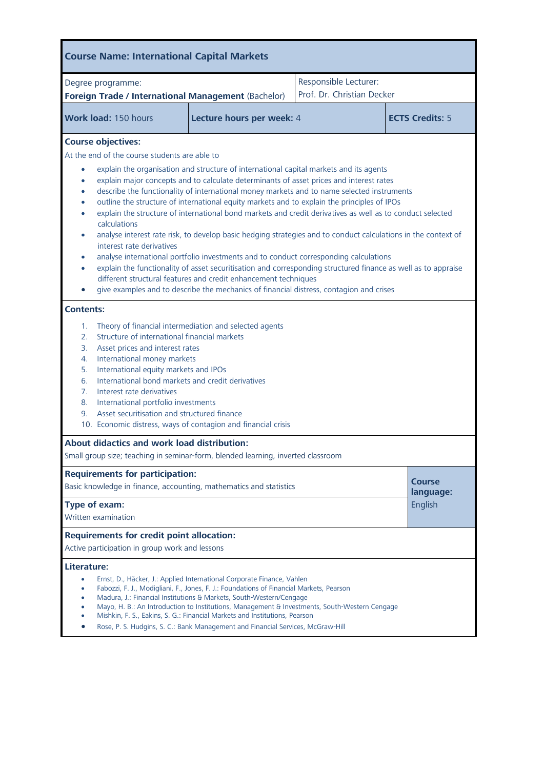| <b>Course Name: International Capital Markets</b>                                                                                                                                                                                                                                                                                                                                                                                                                                                                                                                                                                                                                                                                                                                                                                                                                                                                                                                                                                                                                                                                                                                                                              |                                                                                                                                                                                                                                                                                                                                                                                                                                                                                                            |                                                     |                                       |  |
|----------------------------------------------------------------------------------------------------------------------------------------------------------------------------------------------------------------------------------------------------------------------------------------------------------------------------------------------------------------------------------------------------------------------------------------------------------------------------------------------------------------------------------------------------------------------------------------------------------------------------------------------------------------------------------------------------------------------------------------------------------------------------------------------------------------------------------------------------------------------------------------------------------------------------------------------------------------------------------------------------------------------------------------------------------------------------------------------------------------------------------------------------------------------------------------------------------------|------------------------------------------------------------------------------------------------------------------------------------------------------------------------------------------------------------------------------------------------------------------------------------------------------------------------------------------------------------------------------------------------------------------------------------------------------------------------------------------------------------|-----------------------------------------------------|---------------------------------------|--|
| Degree programme:<br>Foreign Trade / International Management (Bachelor)                                                                                                                                                                                                                                                                                                                                                                                                                                                                                                                                                                                                                                                                                                                                                                                                                                                                                                                                                                                                                                                                                                                                       |                                                                                                                                                                                                                                                                                                                                                                                                                                                                                                            | Responsible Lecturer:<br>Prof. Dr. Christian Decker |                                       |  |
| Work load: 150 hours                                                                                                                                                                                                                                                                                                                                                                                                                                                                                                                                                                                                                                                                                                                                                                                                                                                                                                                                                                                                                                                                                                                                                                                           | Lecture hours per week: 4                                                                                                                                                                                                                                                                                                                                                                                                                                                                                  |                                                     | <b>ECTS Credits: 5</b>                |  |
| <b>Course objectives:</b><br>At the end of the course students are able to<br>explain the organisation and structure of international capital markets and its agents<br>۰<br>explain major concepts and to calculate determinants of asset prices and interest rates<br>$\bullet$<br>describe the functionality of international money markets and to name selected instruments<br>$\bullet$<br>outline the structure of international equity markets and to explain the principles of IPOs<br>٠<br>explain the structure of international bond markets and credit derivatives as well as to conduct selected<br>$\bullet$<br>calculations<br>analyse interest rate risk, to develop basic hedging strategies and to conduct calculations in the context of<br>$\bullet$<br>interest rate derivatives<br>analyse international portfolio investments and to conduct corresponding calculations<br>$\bullet$<br>explain the functionality of asset securitisation and corresponding structured finance as well as to appraise<br>different structural features and credit enhancement techniques<br>give examples and to describe the mechanics of financial distress, contagion and crises<br><b>Contents:</b> |                                                                                                                                                                                                                                                                                                                                                                                                                                                                                                            |                                                     |                                       |  |
| Theory of financial intermediation and selected agents<br>1.<br>Structure of international financial markets<br>2.<br>Asset prices and interest rates<br>3.<br>International money markets<br>4.<br>5.<br>International equity markets and IPOs<br>International bond markets and credit derivatives<br>6.<br>Interest rate derivatives<br>7 <sub>1</sub><br>International portfolio investments<br>8.<br>Asset securitisation and structured finance<br>9.<br>10. Economic distress, ways of contagion and financial crisis                                                                                                                                                                                                                                                                                                                                                                                                                                                                                                                                                                                                                                                                                   |                                                                                                                                                                                                                                                                                                                                                                                                                                                                                                            |                                                     |                                       |  |
| About didactics and work load distribution:<br>Small group size; teaching in seminar-form, blended learning, inverted classroom                                                                                                                                                                                                                                                                                                                                                                                                                                                                                                                                                                                                                                                                                                                                                                                                                                                                                                                                                                                                                                                                                |                                                                                                                                                                                                                                                                                                                                                                                                                                                                                                            |                                                     |                                       |  |
| <b>Requirements for participation:</b><br>Basic knowledge in finance, accounting, mathematics and statistics<br><b>Type of exam:</b><br>Written examination                                                                                                                                                                                                                                                                                                                                                                                                                                                                                                                                                                                                                                                                                                                                                                                                                                                                                                                                                                                                                                                    |                                                                                                                                                                                                                                                                                                                                                                                                                                                                                                            |                                                     | <b>Course</b><br>language:<br>English |  |
| <b>Requirements for credit point allocation:</b><br>Active participation in group work and lessons                                                                                                                                                                                                                                                                                                                                                                                                                                                                                                                                                                                                                                                                                                                                                                                                                                                                                                                                                                                                                                                                                                             |                                                                                                                                                                                                                                                                                                                                                                                                                                                                                                            |                                                     |                                       |  |
| Literature:                                                                                                                                                                                                                                                                                                                                                                                                                                                                                                                                                                                                                                                                                                                                                                                                                                                                                                                                                                                                                                                                                                                                                                                                    | Ernst, D., Häcker, J.: Applied International Corporate Finance, Vahlen<br>Fabozzi, F. J., Modigliani, F., Jones, F. J.: Foundations of Financial Markets, Pearson<br>Madura, J.: Financial Institutions & Markets, South-Western/Cengage<br>Mayo, H. B.: An Introduction to Institutions, Management & Investments, South-Western Cengage<br>Mishkin, F. S., Eakins, S. G.: Financial Markets and Institutions, Pearson<br>Rose, P. S. Hudgins, S. C.: Bank Management and Financial Services, McGraw-Hill |                                                     |                                       |  |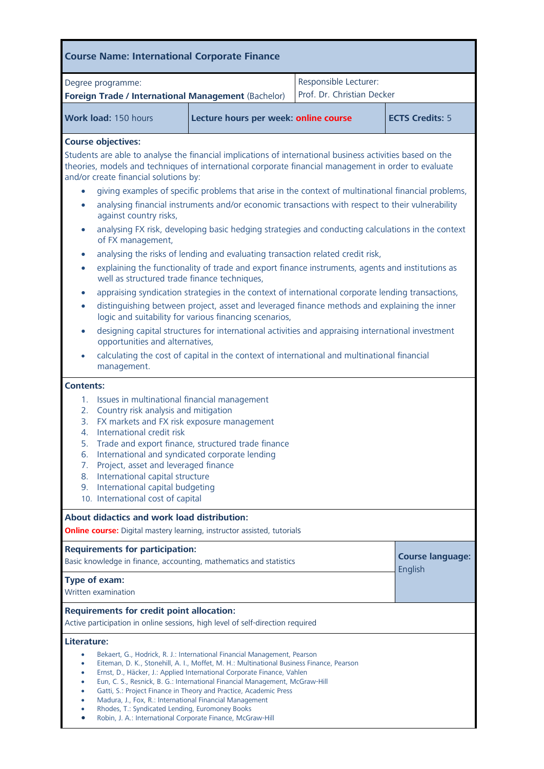| <b>Course Name: International Corporate Finance</b>                                                                                                                                                                                                                                                                                                                                                                                                                                                                                                                                                                                                                                                                                                                                                                                                                                                                                                                                                                                                                                                                                                                                                                                                                                                                                                                                            |                                                                                                                                                                          |                                                                                                                                                                                                                                                                                                                                                                                                    |                            |                                    |
|------------------------------------------------------------------------------------------------------------------------------------------------------------------------------------------------------------------------------------------------------------------------------------------------------------------------------------------------------------------------------------------------------------------------------------------------------------------------------------------------------------------------------------------------------------------------------------------------------------------------------------------------------------------------------------------------------------------------------------------------------------------------------------------------------------------------------------------------------------------------------------------------------------------------------------------------------------------------------------------------------------------------------------------------------------------------------------------------------------------------------------------------------------------------------------------------------------------------------------------------------------------------------------------------------------------------------------------------------------------------------------------------|--------------------------------------------------------------------------------------------------------------------------------------------------------------------------|----------------------------------------------------------------------------------------------------------------------------------------------------------------------------------------------------------------------------------------------------------------------------------------------------------------------------------------------------------------------------------------------------|----------------------------|------------------------------------|
|                                                                                                                                                                                                                                                                                                                                                                                                                                                                                                                                                                                                                                                                                                                                                                                                                                                                                                                                                                                                                                                                                                                                                                                                                                                                                                                                                                                                | Degree programme:                                                                                                                                                        |                                                                                                                                                                                                                                                                                                                                                                                                    | Responsible Lecturer:      |                                    |
|                                                                                                                                                                                                                                                                                                                                                                                                                                                                                                                                                                                                                                                                                                                                                                                                                                                                                                                                                                                                                                                                                                                                                                                                                                                                                                                                                                                                |                                                                                                                                                                          | Foreign Trade / International Management (Bachelor)                                                                                                                                                                                                                                                                                                                                                | Prof. Dr. Christian Decker |                                    |
|                                                                                                                                                                                                                                                                                                                                                                                                                                                                                                                                                                                                                                                                                                                                                                                                                                                                                                                                                                                                                                                                                                                                                                                                                                                                                                                                                                                                | Work load: 150 hours                                                                                                                                                     | Lecture hours per week: online course                                                                                                                                                                                                                                                                                                                                                              |                            | <b>ECTS Credits: 5</b>             |
| <b>Course objectives:</b><br>Students are able to analyse the financial implications of international business activities based on the<br>theories, models and techniques of international corporate financial management in order to evaluate<br>and/or create financial solutions by:<br>giving examples of specific problems that arise in the context of multinational financial problems,<br>analysing financial instruments and/or economic transactions with respect to their vulnerability<br>$\bullet$<br>against country risks,<br>analysing FX risk, developing basic hedging strategies and conducting calculations in the context<br>$\bullet$<br>of FX management,<br>analysing the risks of lending and evaluating transaction related credit risk,<br>$\bullet$<br>explaining the functionality of trade and export finance instruments, agents and institutions as<br>$\bullet$<br>well as structured trade finance techniques,<br>appraising syndication strategies in the context of international corporate lending transactions,<br>$\bullet$<br>distinguishing between project, asset and leveraged finance methods and explaining the inner<br>$\bullet$<br>logic and suitability for various financing scenarios,<br>designing capital structures for international activities and appraising international investment<br>$\bullet$<br>opportunities and alternatives, |                                                                                                                                                                          |                                                                                                                                                                                                                                                                                                                                                                                                    |                            |                                    |
|                                                                                                                                                                                                                                                                                                                                                                                                                                                                                                                                                                                                                                                                                                                                                                                                                                                                                                                                                                                                                                                                                                                                                                                                                                                                                                                                                                                                | management.                                                                                                                                                              | calculating the cost of capital in the context of international and multinational financial                                                                                                                                                                                                                                                                                                        |                            |                                    |
| <b>Contents:</b><br>Issues in multinational financial management<br>1.<br>Country risk analysis and mitigation<br>2.<br>FX markets and FX risk exposure management<br>3.<br>International credit risk<br>4.<br>Trade and export finance, structured trade finance<br>5.<br>International and syndicated corporate lending<br>6.<br>Project, asset and leveraged finance<br>7.<br>International capital structure<br>8.<br>International capital budgeting<br>9.<br>10. International cost of capital                                                                                                                                                                                                                                                                                                                                                                                                                                                                                                                                                                                                                                                                                                                                                                                                                                                                                           |                                                                                                                                                                          |                                                                                                                                                                                                                                                                                                                                                                                                    |                            |                                    |
|                                                                                                                                                                                                                                                                                                                                                                                                                                                                                                                                                                                                                                                                                                                                                                                                                                                                                                                                                                                                                                                                                                                                                                                                                                                                                                                                                                                                | About didactics and work load distribution:                                                                                                                              | <b>Online course:</b> Digital mastery learning, instructor assisted, tutorials                                                                                                                                                                                                                                                                                                                     |                            |                                    |
|                                                                                                                                                                                                                                                                                                                                                                                                                                                                                                                                                                                                                                                                                                                                                                                                                                                                                                                                                                                                                                                                                                                                                                                                                                                                                                                                                                                                | <b>Requirements for participation:</b>                                                                                                                                   | Basic knowledge in finance, accounting, mathematics and statistics                                                                                                                                                                                                                                                                                                                                 |                            | <b>Course language:</b><br>English |
| Type of exam:                                                                                                                                                                                                                                                                                                                                                                                                                                                                                                                                                                                                                                                                                                                                                                                                                                                                                                                                                                                                                                                                                                                                                                                                                                                                                                                                                                                  | Written examination                                                                                                                                                      |                                                                                                                                                                                                                                                                                                                                                                                                    |                            |                                    |
| <b>Requirements for credit point allocation:</b><br>Active participation in online sessions, high level of self-direction required                                                                                                                                                                                                                                                                                                                                                                                                                                                                                                                                                                                                                                                                                                                                                                                                                                                                                                                                                                                                                                                                                                                                                                                                                                                             |                                                                                                                                                                          |                                                                                                                                                                                                                                                                                                                                                                                                    |                            |                                    |
| Literature:<br>$\bullet$<br>$\bullet$<br>٠<br>$\bullet$<br>$\bullet$                                                                                                                                                                                                                                                                                                                                                                                                                                                                                                                                                                                                                                                                                                                                                                                                                                                                                                                                                                                                                                                                                                                                                                                                                                                                                                                           | Madura, J., Fox, R.: International Financial Management<br>Rhodes, T.: Syndicated Lending, Euromoney Books<br>Robin, J. A.: International Corporate Finance, McGraw-Hill | Bekaert, G., Hodrick, R. J.: International Financial Management, Pearson<br>Eiteman, D. K., Stonehill, A. I., Moffet, M. H.: Multinational Business Finance, Pearson<br>Ernst, D., Häcker, J.: Applied International Corporate Finance, Vahlen<br>Eun, C. S., Resnick, B. G.: International Financial Management, McGraw-Hill<br>Gatti, S.: Project Finance in Theory and Practice, Academic Press |                            |                                    |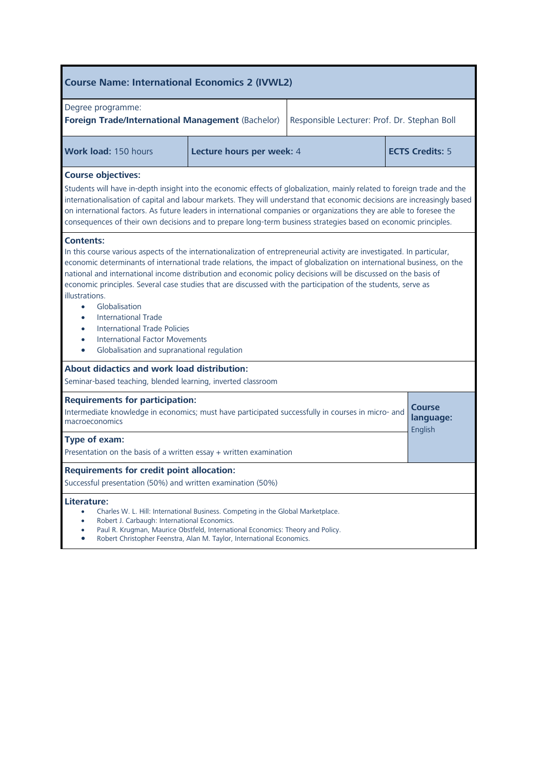| <b>Course Name: International Economics 2 (IVWL2)</b>                                                                                                                                                                                                                                                                                                                                                                                                                                                                                                                                                                                                                                                                                                                   |                                                                                                                                                                                                                                                                                                                                                                                                                                                                                              |                                              |                        |  |  |
|-------------------------------------------------------------------------------------------------------------------------------------------------------------------------------------------------------------------------------------------------------------------------------------------------------------------------------------------------------------------------------------------------------------------------------------------------------------------------------------------------------------------------------------------------------------------------------------------------------------------------------------------------------------------------------------------------------------------------------------------------------------------------|----------------------------------------------------------------------------------------------------------------------------------------------------------------------------------------------------------------------------------------------------------------------------------------------------------------------------------------------------------------------------------------------------------------------------------------------------------------------------------------------|----------------------------------------------|------------------------|--|--|
| Degree programme:<br><b>Foreign Trade/International Management (Bachelor)</b>                                                                                                                                                                                                                                                                                                                                                                                                                                                                                                                                                                                                                                                                                           |                                                                                                                                                                                                                                                                                                                                                                                                                                                                                              | Responsible Lecturer: Prof. Dr. Stephan Boll |                        |  |  |
| Work load: 150 hours                                                                                                                                                                                                                                                                                                                                                                                                                                                                                                                                                                                                                                                                                                                                                    | Lecture hours per week: 4                                                                                                                                                                                                                                                                                                                                                                                                                                                                    |                                              | <b>ECTS Credits: 5</b> |  |  |
| <b>Course objectives:</b>                                                                                                                                                                                                                                                                                                                                                                                                                                                                                                                                                                                                                                                                                                                                               | Students will have in-depth insight into the economic effects of globalization, mainly related to foreign trade and the<br>internationalisation of capital and labour markets. They will understand that economic decisions are increasingly based<br>on international factors. As future leaders in international companies or organizations they are able to foresee the<br>consequences of their own decisions and to prepare long-term business strategies based on economic principles. |                                              |                        |  |  |
| <b>Contents:</b><br>In this course various aspects of the internationalization of entrepreneurial activity are investigated. In particular,<br>economic determinants of international trade relations, the impact of globalization on international business, on the<br>national and international income distribution and economic policy decisions will be discussed on the basis of<br>economic principles. Several case studies that are discussed with the participation of the students, serve as<br>illustrations.<br>Globalisation<br>$\bullet$<br><b>International Trade</b><br>$\bullet$<br><b>International Trade Policies</b><br>$\bullet$<br><b>International Factor Movements</b><br>$\bullet$<br>Globalisation and supranational regulation<br>$\bullet$ |                                                                                                                                                                                                                                                                                                                                                                                                                                                                                              |                                              |                        |  |  |
| About didactics and work load distribution:<br>Seminar-based teaching, blended learning, inverted classroom                                                                                                                                                                                                                                                                                                                                                                                                                                                                                                                                                                                                                                                             |                                                                                                                                                                                                                                                                                                                                                                                                                                                                                              |                                              |                        |  |  |
| macroeconomics                                                                                                                                                                                                                                                                                                                                                                                                                                                                                                                                                                                                                                                                                                                                                          | <b>Requirements for participation:</b><br><b>Course</b><br>Intermediate knowledge in economics; must have participated successfully in courses in micro- and<br>language:                                                                                                                                                                                                                                                                                                                    |                                              |                        |  |  |
| English<br>Type of exam:<br>Presentation on the basis of a written essay + written examination                                                                                                                                                                                                                                                                                                                                                                                                                                                                                                                                                                                                                                                                          |                                                                                                                                                                                                                                                                                                                                                                                                                                                                                              |                                              |                        |  |  |
| <b>Requirements for credit point allocation:</b><br>Successful presentation (50%) and written examination (50%)                                                                                                                                                                                                                                                                                                                                                                                                                                                                                                                                                                                                                                                         |                                                                                                                                                                                                                                                                                                                                                                                                                                                                                              |                                              |                        |  |  |
| Literature:<br>Charles W. L. Hill: International Business. Competing in the Global Marketplace.<br>Robert J. Carbaugh: International Economics.<br>$\bullet$<br>Paul R. Krugman, Maurice Obstfeld, International Economics: Theory and Policy.<br>Robert Christopher Feenstra, Alan M. Taylor, International Economics.<br>$\bullet$                                                                                                                                                                                                                                                                                                                                                                                                                                    |                                                                                                                                                                                                                                                                                                                                                                                                                                                                                              |                                              |                        |  |  |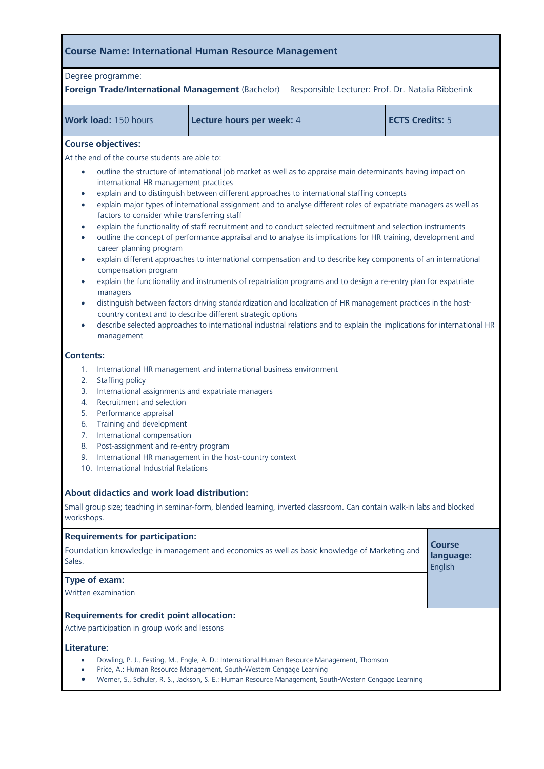| <b>Course Name: International Human Resource Management</b>                                                                                                                                                                                                                                                                                                                                                                                                                                                                                                                                                                                                                                                                                                                                                                                                                                                                                                                                                                                                                                                                                                                                                                                                                                                                                                                                                                                                 |                                                                                                                                                                               |                                                   |  |  |  |
|-------------------------------------------------------------------------------------------------------------------------------------------------------------------------------------------------------------------------------------------------------------------------------------------------------------------------------------------------------------------------------------------------------------------------------------------------------------------------------------------------------------------------------------------------------------------------------------------------------------------------------------------------------------------------------------------------------------------------------------------------------------------------------------------------------------------------------------------------------------------------------------------------------------------------------------------------------------------------------------------------------------------------------------------------------------------------------------------------------------------------------------------------------------------------------------------------------------------------------------------------------------------------------------------------------------------------------------------------------------------------------------------------------------------------------------------------------------|-------------------------------------------------------------------------------------------------------------------------------------------------------------------------------|---------------------------------------------------|--|--|--|
| Degree programme:<br>Foreign Trade/International Management (Bachelor)                                                                                                                                                                                                                                                                                                                                                                                                                                                                                                                                                                                                                                                                                                                                                                                                                                                                                                                                                                                                                                                                                                                                                                                                                                                                                                                                                                                      |                                                                                                                                                                               | Responsible Lecturer: Prof. Dr. Natalia Ribberink |  |  |  |
| Work load: 150 hours                                                                                                                                                                                                                                                                                                                                                                                                                                                                                                                                                                                                                                                                                                                                                                                                                                                                                                                                                                                                                                                                                                                                                                                                                                                                                                                                                                                                                                        | <b>ECTS Credits: 5</b><br>Lecture hours per week: 4                                                                                                                           |                                                   |  |  |  |
| <b>Course objectives:</b><br>At the end of the course students are able to:<br>outline the structure of international job market as well as to appraise main determinants having impact on<br>$\bullet$<br>international HR management practices<br>explain and to distinguish between different approaches to international staffing concepts<br>$\bullet$<br>explain major types of international assignment and to analyse different roles of expatriate managers as well as<br>$\bullet$<br>factors to consider while transferring staff<br>explain the functionality of staff recruitment and to conduct selected recruitment and selection instruments<br>$\bullet$<br>outline the concept of performance appraisal and to analyse its implications for HR training, development and<br>$\bullet$<br>career planning program<br>explain different approaches to international compensation and to describe key components of an international<br>$\bullet$<br>compensation program<br>explain the functionality and instruments of repatriation programs and to design a re-entry plan for expatriate<br>$\bullet$<br>managers<br>distinguish between factors driving standardization and localization of HR management practices in the host-<br>$\bullet$<br>country context and to describe different strategic options<br>describe selected approaches to international industrial relations and to explain the implications for international HR |                                                                                                                                                                               |                                                   |  |  |  |
| management<br><b>Contents:</b><br>International HR management and international business environment<br>1.<br>2.<br>Staffing policy<br>International assignments and expatriate managers<br>3.<br>Recruitment and selection<br>4.<br>Performance appraisal<br>5.<br>Training and development<br>6.<br>7.<br>International compensation<br>8.<br>Post-assignment and re-entry program<br>International HR management in the host-country context<br>9.<br>10. International Industrial Relations                                                                                                                                                                                                                                                                                                                                                                                                                                                                                                                                                                                                                                                                                                                                                                                                                                                                                                                                                             |                                                                                                                                                                               |                                                   |  |  |  |
| About didactics and work load distribution:<br>Small group size; teaching in seminar-form, blended learning, inverted classroom. Can contain walk-in labs and blocked<br>workshops.                                                                                                                                                                                                                                                                                                                                                                                                                                                                                                                                                                                                                                                                                                                                                                                                                                                                                                                                                                                                                                                                                                                                                                                                                                                                         |                                                                                                                                                                               |                                                   |  |  |  |
| <b>Requirements for participation:</b><br>Course<br>Foundation knowledge in management and economics as well as basic knowledge of Marketing and<br>language:<br>Sales.<br>English<br>Type of exam:<br>Written examination                                                                                                                                                                                                                                                                                                                                                                                                                                                                                                                                                                                                                                                                                                                                                                                                                                                                                                                                                                                                                                                                                                                                                                                                                                  |                                                                                                                                                                               |                                                   |  |  |  |
| <b>Requirements for credit point allocation:</b><br>Active participation in group work and lessons<br>Literature:<br>Dowling, P. J., Festing, M., Engle, A. D.: International Human Resource Management, Thomson                                                                                                                                                                                                                                                                                                                                                                                                                                                                                                                                                                                                                                                                                                                                                                                                                                                                                                                                                                                                                                                                                                                                                                                                                                            |                                                                                                                                                                               |                                                   |  |  |  |
| $\bullet$                                                                                                                                                                                                                                                                                                                                                                                                                                                                                                                                                                                                                                                                                                                                                                                                                                                                                                                                                                                                                                                                                                                                                                                                                                                                                                                                                                                                                                                   | Price, A.: Human Resource Management, South-Western Cengage Learning<br>Werner, S., Schuler, R. S., Jackson, S. E.: Human Resource Management, South-Western Cengage Learning |                                                   |  |  |  |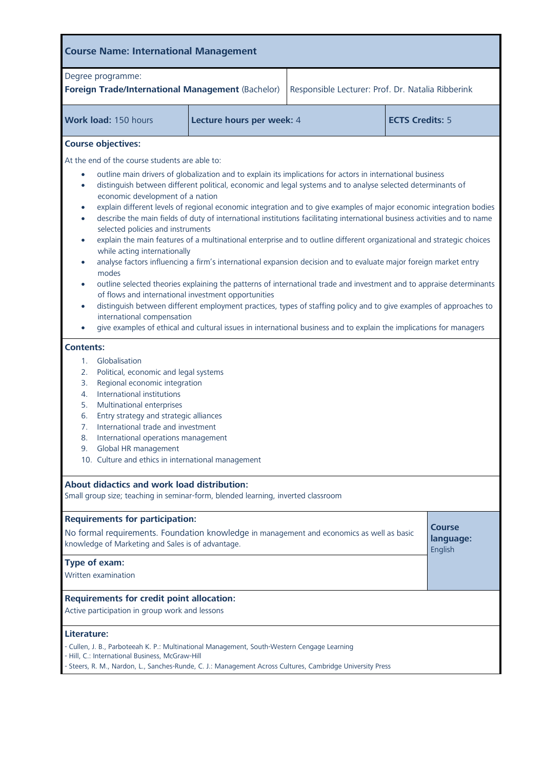| <b>Course Name: International Management</b>                                                                                                                                                                                                                                                                                                                                                                                                                                                                                                                                                                                                                                                                                                                                                                                                                                                                                                                                                                                                                                                                                                                                                                                                                                                                                              |  |  |  |  |  |
|-------------------------------------------------------------------------------------------------------------------------------------------------------------------------------------------------------------------------------------------------------------------------------------------------------------------------------------------------------------------------------------------------------------------------------------------------------------------------------------------------------------------------------------------------------------------------------------------------------------------------------------------------------------------------------------------------------------------------------------------------------------------------------------------------------------------------------------------------------------------------------------------------------------------------------------------------------------------------------------------------------------------------------------------------------------------------------------------------------------------------------------------------------------------------------------------------------------------------------------------------------------------------------------------------------------------------------------------|--|--|--|--|--|
| Degree programme:<br>Foreign Trade/International Management (Bachelor)<br>Responsible Lecturer: Prof. Dr. Natalia Ribberink                                                                                                                                                                                                                                                                                                                                                                                                                                                                                                                                                                                                                                                                                                                                                                                                                                                                                                                                                                                                                                                                                                                                                                                                               |  |  |  |  |  |
| <b>ECTS Credits: 5</b><br>Work load: 150 hours<br>Lecture hours per week: 4                                                                                                                                                                                                                                                                                                                                                                                                                                                                                                                                                                                                                                                                                                                                                                                                                                                                                                                                                                                                                                                                                                                                                                                                                                                               |  |  |  |  |  |
| <b>Course objectives:</b>                                                                                                                                                                                                                                                                                                                                                                                                                                                                                                                                                                                                                                                                                                                                                                                                                                                                                                                                                                                                                                                                                                                                                                                                                                                                                                                 |  |  |  |  |  |
| At the end of the course students are able to:<br>outline main drivers of globalization and to explain its implications for actors in international business<br>$\bullet$<br>distinguish between different political, economic and legal systems and to analyse selected determinants of<br>$\bullet$<br>economic development of a nation<br>explain different levels of regional economic integration and to give examples of major economic integration bodies<br>$\bullet$<br>describe the main fields of duty of international institutions facilitating international business activities and to name<br>$\bullet$<br>selected policies and instruments<br>explain the main features of a multinational enterprise and to outline different organizational and strategic choices<br>$\bullet$<br>while acting internationally<br>analyse factors influencing a firm's international expansion decision and to evaluate major foreign market entry<br>$\bullet$<br>modes<br>outline selected theories explaining the patterns of international trade and investment and to appraise determinants<br>$\bullet$<br>of flows and international investment opportunities<br>distinguish between different employment practices, types of staffing policy and to give examples of approaches to<br>$\bullet$<br>international compensation |  |  |  |  |  |
| give examples of ethical and cultural issues in international business and to explain the implications for managers<br><b>Contents:</b><br>Globalisation<br>1.<br>Political, economic and legal systems<br>2.<br>Regional economic integration<br>3.<br>International institutions<br>4.<br>Multinational enterprises<br>5.<br>Entry strategy and strategic alliances<br>6.<br>International trade and investment<br>7.<br>8.<br>International operations management<br>9.<br>Global HR management<br>10. Culture and ethics in international management                                                                                                                                                                                                                                                                                                                                                                                                                                                                                                                                                                                                                                                                                                                                                                                  |  |  |  |  |  |
| <b>About didactics and work load distribution:</b><br>Small group size; teaching in seminar-form, blended learning, inverted classroom                                                                                                                                                                                                                                                                                                                                                                                                                                                                                                                                                                                                                                                                                                                                                                                                                                                                                                                                                                                                                                                                                                                                                                                                    |  |  |  |  |  |
| <b>Requirements for participation:</b><br>Course<br>No formal requirements. Foundation knowledge in management and economics as well as basic<br>language:<br>knowledge of Marketing and Sales is of advantage.<br>English<br>Type of exam:                                                                                                                                                                                                                                                                                                                                                                                                                                                                                                                                                                                                                                                                                                                                                                                                                                                                                                                                                                                                                                                                                               |  |  |  |  |  |
| Written examination<br><b>Requirements for credit point allocation:</b><br>Active participation in group work and lessons                                                                                                                                                                                                                                                                                                                                                                                                                                                                                                                                                                                                                                                                                                                                                                                                                                                                                                                                                                                                                                                                                                                                                                                                                 |  |  |  |  |  |
| Literature:<br>- Cullen, J. B., Parboteeah K. P.: Multinational Management, South-Western Cengage Learning<br>- Hill, C.: International Business, McGraw-Hill<br>- Steers, R. M., Nardon, L., Sanches-Runde, C. J.: Management Across Cultures, Cambridge University Press                                                                                                                                                                                                                                                                                                                                                                                                                                                                                                                                                                                                                                                                                                                                                                                                                                                                                                                                                                                                                                                                |  |  |  |  |  |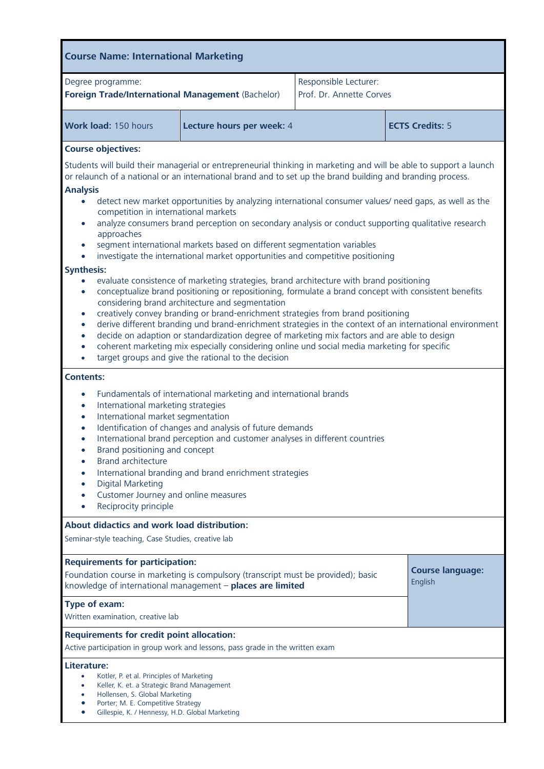| <b>Course Name: International Marketing</b>                                                                                                                                                                                                                                                                                                                                                                                                                                                                                                                                                                                                                                                                                                                                                                                                                                                                                                                                                                                                                                                                                                                                                                                                                                                                                                                     |                           |                                                   |                         |                        |
|-----------------------------------------------------------------------------------------------------------------------------------------------------------------------------------------------------------------------------------------------------------------------------------------------------------------------------------------------------------------------------------------------------------------------------------------------------------------------------------------------------------------------------------------------------------------------------------------------------------------------------------------------------------------------------------------------------------------------------------------------------------------------------------------------------------------------------------------------------------------------------------------------------------------------------------------------------------------------------------------------------------------------------------------------------------------------------------------------------------------------------------------------------------------------------------------------------------------------------------------------------------------------------------------------------------------------------------------------------------------|---------------------------|---------------------------------------------------|-------------------------|------------------------|
| Degree programme:<br>Foreign Trade/International Management (Bachelor)                                                                                                                                                                                                                                                                                                                                                                                                                                                                                                                                                                                                                                                                                                                                                                                                                                                                                                                                                                                                                                                                                                                                                                                                                                                                                          |                           | Responsible Lecturer:<br>Prof. Dr. Annette Corves |                         |                        |
| Work load: 150 hours                                                                                                                                                                                                                                                                                                                                                                                                                                                                                                                                                                                                                                                                                                                                                                                                                                                                                                                                                                                                                                                                                                                                                                                                                                                                                                                                            | Lecture hours per week: 4 |                                                   |                         | <b>ECTS Credits: 5</b> |
| <b>Course objectives:</b><br>Students will build their managerial or entrepreneurial thinking in marketing and will be able to support a launch<br>or relaunch of a national or an international brand and to set up the brand building and branding process.<br><b>Analysis</b><br>detect new market opportunities by analyzing international consumer values/ need gaps, as well as the<br>competition in international markets<br>analyze consumers brand perception on secondary analysis or conduct supporting qualitative research<br>approaches<br>segment international markets based on different segmentation variables<br>investigate the international market opportunities and competitive positioning<br><b>Synthesis:</b><br>evaluate consistence of marketing strategies, brand architecture with brand positioning<br>$\bullet$<br>conceptualize brand positioning or repositioning, formulate a brand concept with consistent benefits<br>$\bullet$<br>considering brand architecture and segmentation<br>creatively convey branding or brand-enrichment strategies from brand positioning<br>$\bullet$<br>derive different branding und brand-enrichment strategies in the context of an international environment<br>$\bullet$<br>decide on adaption or standardization degree of marketing mix factors and are able to design<br>$\bullet$ |                           |                                                   |                         |                        |
| coherent marketing mix especially considering online und social media marketing for specific<br>$\bullet$<br>target groups and give the rational to the decision<br><b>Contents:</b><br>Fundamentals of international marketing and international brands<br>$\bullet$<br>International marketing strategies<br>$\bullet$<br>International market segmentation<br>$\bullet$<br>Identification of changes and analysis of future demands<br>$\bullet$<br>International brand perception and customer analyses in different countries<br>$\bullet$<br>Brand positioning and concept<br><b>Brand architecture</b><br>$\bullet$<br>International branding and brand enrichment strategies<br>Digital Marketing<br>Customer Journey and online measures<br>Reciprocity principle                                                                                                                                                                                                                                                                                                                                                                                                                                                                                                                                                                                      |                           |                                                   |                         |                        |
| About didactics and work load distribution:<br>Seminar-style teaching, Case Studies, creative lab                                                                                                                                                                                                                                                                                                                                                                                                                                                                                                                                                                                                                                                                                                                                                                                                                                                                                                                                                                                                                                                                                                                                                                                                                                                               |                           |                                                   |                         |                        |
| <b>Requirements for participation:</b><br>Foundation course in marketing is compulsory (transcript must be provided); basic<br>English<br>knowledge of international management - places are limited                                                                                                                                                                                                                                                                                                                                                                                                                                                                                                                                                                                                                                                                                                                                                                                                                                                                                                                                                                                                                                                                                                                                                            |                           |                                                   | <b>Course language:</b> |                        |
| Type of exam:<br>Written examination, creative lab                                                                                                                                                                                                                                                                                                                                                                                                                                                                                                                                                                                                                                                                                                                                                                                                                                                                                                                                                                                                                                                                                                                                                                                                                                                                                                              |                           |                                                   |                         |                        |
| <b>Requirements for credit point allocation:</b><br>Active participation in group work and lessons, pass grade in the written exam                                                                                                                                                                                                                                                                                                                                                                                                                                                                                                                                                                                                                                                                                                                                                                                                                                                                                                                                                                                                                                                                                                                                                                                                                              |                           |                                                   |                         |                        |
| Literature:<br>Kotler, P. et al. Principles of Marketing<br>٠<br>Keller, K. et. a Strategic Brand Management<br>٠<br>Hollensen, S. Global Marketing<br>Porter; M. E. Competitive Strategy<br>Gillespie, K. / Hennessy, H.D. Global Marketing                                                                                                                                                                                                                                                                                                                                                                                                                                                                                                                                                                                                                                                                                                                                                                                                                                                                                                                                                                                                                                                                                                                    |                           |                                                   |                         |                        |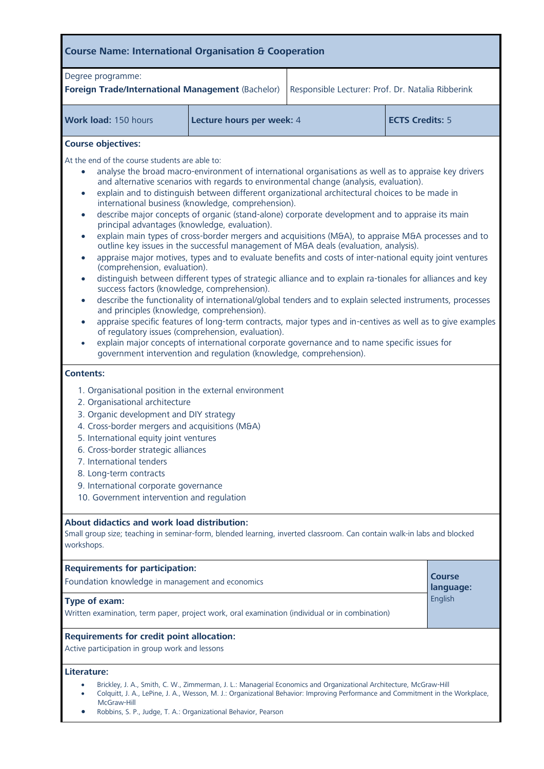| <b>Course Name: International Organisation &amp; Cooperation</b>                                                                                                                                                                                                                                                                                                                                                                                                                                                                                                                                                                                                                                                                                                                                                                                                                                                                                                                                                                                                                                                                                                                                                                                                                                                                                                                                                                                                                                                                                                                                                                                                                                |                           |                                                   |                        |                            |  |
|-------------------------------------------------------------------------------------------------------------------------------------------------------------------------------------------------------------------------------------------------------------------------------------------------------------------------------------------------------------------------------------------------------------------------------------------------------------------------------------------------------------------------------------------------------------------------------------------------------------------------------------------------------------------------------------------------------------------------------------------------------------------------------------------------------------------------------------------------------------------------------------------------------------------------------------------------------------------------------------------------------------------------------------------------------------------------------------------------------------------------------------------------------------------------------------------------------------------------------------------------------------------------------------------------------------------------------------------------------------------------------------------------------------------------------------------------------------------------------------------------------------------------------------------------------------------------------------------------------------------------------------------------------------------------------------------------|---------------------------|---------------------------------------------------|------------------------|----------------------------|--|
| Degree programme:<br>Foreign Trade/International Management (Bachelor)                                                                                                                                                                                                                                                                                                                                                                                                                                                                                                                                                                                                                                                                                                                                                                                                                                                                                                                                                                                                                                                                                                                                                                                                                                                                                                                                                                                                                                                                                                                                                                                                                          |                           | Responsible Lecturer: Prof. Dr. Natalia Ribberink |                        |                            |  |
| Work load: 150 hours                                                                                                                                                                                                                                                                                                                                                                                                                                                                                                                                                                                                                                                                                                                                                                                                                                                                                                                                                                                                                                                                                                                                                                                                                                                                                                                                                                                                                                                                                                                                                                                                                                                                            | Lecture hours per week: 4 |                                                   | <b>ECTS Credits: 5</b> |                            |  |
| <b>Course objectives:</b>                                                                                                                                                                                                                                                                                                                                                                                                                                                                                                                                                                                                                                                                                                                                                                                                                                                                                                                                                                                                                                                                                                                                                                                                                                                                                                                                                                                                                                                                                                                                                                                                                                                                       |                           |                                                   |                        |                            |  |
| At the end of the course students are able to:<br>analyse the broad macro-environment of international organisations as well as to appraise key drivers<br>$\bullet$<br>and alternative scenarios with regards to environmental change (analysis, evaluation).<br>explain and to distinguish between different organizational architectural choices to be made in<br>$\bullet$<br>international business (knowledge, comprehension).<br>describe major concepts of organic (stand-alone) corporate development and to appraise its main<br>$\bullet$<br>principal advantages (knowledge, evaluation).<br>explain main types of cross-border mergers and acquisitions (M&A), to appraise M&A processes and to<br>$\bullet$<br>outline key issues in the successful management of M&A deals (evaluation, analysis).<br>appraise major motives, types and to evaluate benefits and costs of inter-national equity joint ventures<br>$\bullet$<br>(comprehension, evaluation).<br>distinguish between different types of strategic alliance and to explain ra-tionales for alliances and key<br>$\bullet$<br>success factors (knowledge, comprehension).<br>describe the functionality of international/global tenders and to explain selected instruments, processes<br>$\bullet$<br>and principles (knowledge, comprehension).<br>appraise specific features of long-term contracts, major types and in-centives as well as to give examples<br>$\bullet$<br>of regulatory issues (comprehension, evaluation).<br>explain major concepts of international corporate governance and to name specific issues for<br>$\bullet$<br>government intervention and regulation (knowledge, comprehension). |                           |                                                   |                        |                            |  |
| <b>Contents:</b><br>1. Organisational position in the external environment<br>2. Organisational architecture<br>3. Organic development and DIY strategy                                                                                                                                                                                                                                                                                                                                                                                                                                                                                                                                                                                                                                                                                                                                                                                                                                                                                                                                                                                                                                                                                                                                                                                                                                                                                                                                                                                                                                                                                                                                         |                           |                                                   |                        |                            |  |
| 4. Cross-border mergers and acquisitions (M&A)<br>5. International equity joint ventures<br>6. Cross-border strategic alliances<br>7. International tenders                                                                                                                                                                                                                                                                                                                                                                                                                                                                                                                                                                                                                                                                                                                                                                                                                                                                                                                                                                                                                                                                                                                                                                                                                                                                                                                                                                                                                                                                                                                                     |                           |                                                   |                        |                            |  |
| 8. Long-term contracts<br>9. International corporate governance<br>10. Government intervention and regulation                                                                                                                                                                                                                                                                                                                                                                                                                                                                                                                                                                                                                                                                                                                                                                                                                                                                                                                                                                                                                                                                                                                                                                                                                                                                                                                                                                                                                                                                                                                                                                                   |                           |                                                   |                        |                            |  |
| <b>About didactics and work load distribution:</b><br>Small group size; teaching in seminar-form, blended learning, inverted classroom. Can contain walk-in labs and blocked<br>workshops.                                                                                                                                                                                                                                                                                                                                                                                                                                                                                                                                                                                                                                                                                                                                                                                                                                                                                                                                                                                                                                                                                                                                                                                                                                                                                                                                                                                                                                                                                                      |                           |                                                   |                        |                            |  |
| <b>Requirements for participation:</b><br>Foundation knowledge in management and economics                                                                                                                                                                                                                                                                                                                                                                                                                                                                                                                                                                                                                                                                                                                                                                                                                                                                                                                                                                                                                                                                                                                                                                                                                                                                                                                                                                                                                                                                                                                                                                                                      |                           |                                                   |                        | <b>Course</b><br>language: |  |
| English<br>Type of exam:<br>Written examination, term paper, project work, oral examination (individual or in combination)                                                                                                                                                                                                                                                                                                                                                                                                                                                                                                                                                                                                                                                                                                                                                                                                                                                                                                                                                                                                                                                                                                                                                                                                                                                                                                                                                                                                                                                                                                                                                                      |                           |                                                   |                        |                            |  |
| <b>Requirements for credit point allocation:</b><br>Active participation in group work and lessons                                                                                                                                                                                                                                                                                                                                                                                                                                                                                                                                                                                                                                                                                                                                                                                                                                                                                                                                                                                                                                                                                                                                                                                                                                                                                                                                                                                                                                                                                                                                                                                              |                           |                                                   |                        |                            |  |
| Literature:<br>Brickley, J. A., Smith, C. W., Zimmerman, J. L.: Managerial Economics and Organizational Architecture, McGraw-Hill<br>Colquitt, J. A., LePine, J. A., Wesson, M. J.: Organizational Behavior: Improving Performance and Commitment in the Workplace,<br>McGraw-Hill<br>Robbins, S. P., Judge, T. A.: Organizational Behavior, Pearson                                                                                                                                                                                                                                                                                                                                                                                                                                                                                                                                                                                                                                                                                                                                                                                                                                                                                                                                                                                                                                                                                                                                                                                                                                                                                                                                            |                           |                                                   |                        |                            |  |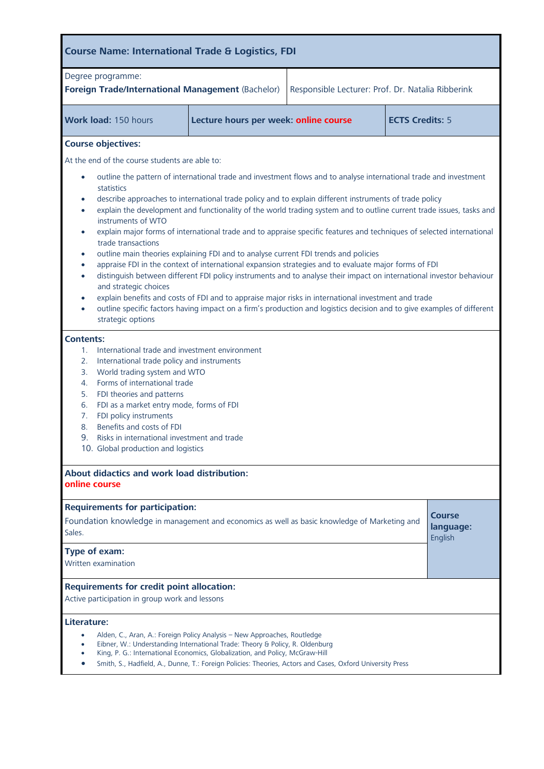| <b>Course Name: International Trade &amp; Logistics, FDI</b>                                                                                                                                                                                                                                                                                                                                                                                                                                                                                                                                                                                                                                                                                                                                                                                                                                                                                                                                                                                                                                                                                                                                                                                                                                                                                                                                                                                                                                                                                                                                                         |                                                                                                                                                                          |                                                   |  |  |  |  |
|----------------------------------------------------------------------------------------------------------------------------------------------------------------------------------------------------------------------------------------------------------------------------------------------------------------------------------------------------------------------------------------------------------------------------------------------------------------------------------------------------------------------------------------------------------------------------------------------------------------------------------------------------------------------------------------------------------------------------------------------------------------------------------------------------------------------------------------------------------------------------------------------------------------------------------------------------------------------------------------------------------------------------------------------------------------------------------------------------------------------------------------------------------------------------------------------------------------------------------------------------------------------------------------------------------------------------------------------------------------------------------------------------------------------------------------------------------------------------------------------------------------------------------------------------------------------------------------------------------------------|--------------------------------------------------------------------------------------------------------------------------------------------------------------------------|---------------------------------------------------|--|--|--|--|
| Degree programme:<br>Foreign Trade/International Management (Bachelor)                                                                                                                                                                                                                                                                                                                                                                                                                                                                                                                                                                                                                                                                                                                                                                                                                                                                                                                                                                                                                                                                                                                                                                                                                                                                                                                                                                                                                                                                                                                                               |                                                                                                                                                                          | Responsible Lecturer: Prof. Dr. Natalia Ribberink |  |  |  |  |
| Work load: 150 hours                                                                                                                                                                                                                                                                                                                                                                                                                                                                                                                                                                                                                                                                                                                                                                                                                                                                                                                                                                                                                                                                                                                                                                                                                                                                                                                                                                                                                                                                                                                                                                                                 | <b>ECTS Credits: 5</b><br>Lecture hours per week: online course                                                                                                          |                                                   |  |  |  |  |
| <b>Course objectives:</b>                                                                                                                                                                                                                                                                                                                                                                                                                                                                                                                                                                                                                                                                                                                                                                                                                                                                                                                                                                                                                                                                                                                                                                                                                                                                                                                                                                                                                                                                                                                                                                                            |                                                                                                                                                                          |                                                   |  |  |  |  |
|                                                                                                                                                                                                                                                                                                                                                                                                                                                                                                                                                                                                                                                                                                                                                                                                                                                                                                                                                                                                                                                                                                                                                                                                                                                                                                                                                                                                                                                                                                                                                                                                                      |                                                                                                                                                                          |                                                   |  |  |  |  |
| At the end of the course students are able to:<br>outline the pattern of international trade and investment flows and to analyse international trade and investment<br>$\bullet$<br>statistics<br>describe approaches to international trade policy and to explain different instruments of trade policy<br>$\bullet$<br>explain the development and functionality of the world trading system and to outline current trade issues, tasks and<br>$\bullet$<br>instruments of WTO<br>explain major forms of international trade and to appraise specific features and techniques of selected international<br>$\bullet$<br>trade transactions<br>outline main theories explaining FDI and to analyse current FDI trends and policies<br>$\bullet$<br>appraise FDI in the context of international expansion strategies and to evaluate major forms of FDI<br>$\bullet$<br>distinguish between different FDI policy instruments and to analyse their impact on international investor behaviour<br>$\bullet$<br>and strategic choices<br>explain benefits and costs of FDI and to appraise major risks in international investment and trade<br>outline specific factors having impact on a firm's production and logistics decision and to give examples of different<br>strategic options<br><b>Contents:</b><br>International trade and investment environment<br>1.<br>International trade policy and instruments<br>2.<br>World trading system and WTO<br>3.<br>Forms of international trade<br>4.<br>FDI theories and patterns<br>5.<br>FDI as a market entry mode, forms of FDI<br>6.<br>FDI policy instruments |                                                                                                                                                                          |                                                   |  |  |  |  |
| Benefits and costs of FDI<br>8.<br>9.<br>Risks in international investment and trade<br>10. Global production and logistics                                                                                                                                                                                                                                                                                                                                                                                                                                                                                                                                                                                                                                                                                                                                                                                                                                                                                                                                                                                                                                                                                                                                                                                                                                                                                                                                                                                                                                                                                          |                                                                                                                                                                          |                                                   |  |  |  |  |
|                                                                                                                                                                                                                                                                                                                                                                                                                                                                                                                                                                                                                                                                                                                                                                                                                                                                                                                                                                                                                                                                                                                                                                                                                                                                                                                                                                                                                                                                                                                                                                                                                      |                                                                                                                                                                          |                                                   |  |  |  |  |
| <b>About didactics and work load distribution:</b><br>online course                                                                                                                                                                                                                                                                                                                                                                                                                                                                                                                                                                                                                                                                                                                                                                                                                                                                                                                                                                                                                                                                                                                                                                                                                                                                                                                                                                                                                                                                                                                                                  |                                                                                                                                                                          |                                                   |  |  |  |  |
| Sales.                                                                                                                                                                                                                                                                                                                                                                                                                                                                                                                                                                                                                                                                                                                                                                                                                                                                                                                                                                                                                                                                                                                                                                                                                                                                                                                                                                                                                                                                                                                                                                                                               | <b>Requirements for participation:</b><br>Course<br>Foundation knowledge in management and economics as well as basic knowledge of Marketing and<br>language:<br>English |                                                   |  |  |  |  |
| Type of exam:<br>Written examination                                                                                                                                                                                                                                                                                                                                                                                                                                                                                                                                                                                                                                                                                                                                                                                                                                                                                                                                                                                                                                                                                                                                                                                                                                                                                                                                                                                                                                                                                                                                                                                 |                                                                                                                                                                          |                                                   |  |  |  |  |
| <b>Requirements for credit point allocation:</b><br>Active participation in group work and lessons                                                                                                                                                                                                                                                                                                                                                                                                                                                                                                                                                                                                                                                                                                                                                                                                                                                                                                                                                                                                                                                                                                                                                                                                                                                                                                                                                                                                                                                                                                                   |                                                                                                                                                                          |                                                   |  |  |  |  |
| Literature:                                                                                                                                                                                                                                                                                                                                                                                                                                                                                                                                                                                                                                                                                                                                                                                                                                                                                                                                                                                                                                                                                                                                                                                                                                                                                                                                                                                                                                                                                                                                                                                                          |                                                                                                                                                                          |                                                   |  |  |  |  |
| Alden, C., Aran, A.: Foreign Policy Analysis - New Approaches, Routledge<br>Eibner, W.: Understanding International Trade: Theory & Policy, R. Oldenburg<br>King, P. G.: International Economics, Globalization, and Policy, McGraw-Hill<br>Smith, S., Hadfield, A., Dunne, T.: Foreign Policies: Theories, Actors and Cases, Oxford University Press                                                                                                                                                                                                                                                                                                                                                                                                                                                                                                                                                                                                                                                                                                                                                                                                                                                                                                                                                                                                                                                                                                                                                                                                                                                                |                                                                                                                                                                          |                                                   |  |  |  |  |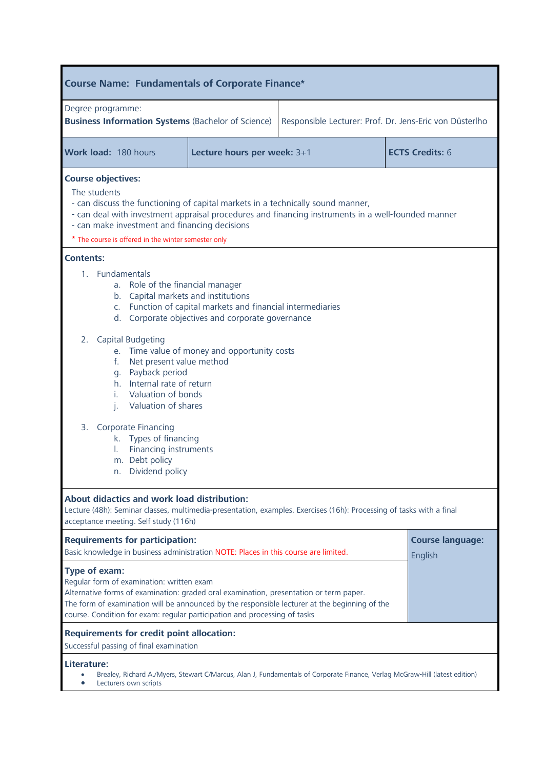| <b>Course Name: Fundamentals of Corporate Finance*</b>                                                                                                                                                                                                                                                                             |                                                                                                                                                                                                                                                                                                                                                                                                                                                            |                                                         |  |  |  |  |
|------------------------------------------------------------------------------------------------------------------------------------------------------------------------------------------------------------------------------------------------------------------------------------------------------------------------------------|------------------------------------------------------------------------------------------------------------------------------------------------------------------------------------------------------------------------------------------------------------------------------------------------------------------------------------------------------------------------------------------------------------------------------------------------------------|---------------------------------------------------------|--|--|--|--|
| Degree programme:<br><b>Business Information Systems (Bachelor of Science)</b>                                                                                                                                                                                                                                                     |                                                                                                                                                                                                                                                                                                                                                                                                                                                            | Responsible Lecturer: Prof. Dr. Jens-Eric von Düsterlho |  |  |  |  |
| Work load: 180 hours<br><b>ECTS Credits: 6</b><br>Lecture hours per week: 3+1                                                                                                                                                                                                                                                      |                                                                                                                                                                                                                                                                                                                                                                                                                                                            |                                                         |  |  |  |  |
| <b>Course objectives:</b><br>The students                                                                                                                                                                                                                                                                                          | - can discuss the functioning of capital markets in a technically sound manner,<br>- can deal with investment appraisal procedures and financing instruments in a well-founded manner<br>- can make investment and financing decisions                                                                                                                                                                                                                     |                                                         |  |  |  |  |
| <b>Contents:</b><br>1. Fundamentals<br>Capital Budgeting<br>2.<br>f.<br>g. Payback period<br>i.<br>j.<br>Corporate Financing<br>3.<br>L.<br>m. Debt policy<br>n. Dividend policy                                                                                                                                                   | * The course is offered in the winter semester only<br>a. Role of the financial manager<br>b. Capital markets and institutions<br>c. Function of capital markets and financial intermediaries<br>d. Corporate objectives and corporate governance<br>e. Time value of money and opportunity costs<br>Net present value method<br>h. Internal rate of return<br>Valuation of bonds<br>Valuation of shares<br>k. Types of financing<br>Financing instruments |                                                         |  |  |  |  |
| About didactics and work load distribution:<br>Lecture (48h): Seminar classes, multimedia-presentation, examples. Exercises (16h): Processing of tasks with a final<br>acceptance meeting. Self study (116h)                                                                                                                       |                                                                                                                                                                                                                                                                                                                                                                                                                                                            |                                                         |  |  |  |  |
|                                                                                                                                                                                                                                                                                                                                    | <b>Requirements for participation:</b><br><b>Course language:</b><br>Basic knowledge in business administration NOTE: Places in this course are limited.<br>English                                                                                                                                                                                                                                                                                        |                                                         |  |  |  |  |
| Type of exam:<br>Regular form of examination: written exam<br>Alternative forms of examination: graded oral examination, presentation or term paper.<br>The form of examination will be announced by the responsible lecturer at the beginning of the<br>course. Condition for exam: regular participation and processing of tasks |                                                                                                                                                                                                                                                                                                                                                                                                                                                            |                                                         |  |  |  |  |
| <b>Requirements for credit point allocation:</b><br>Successful passing of final examination                                                                                                                                                                                                                                        |                                                                                                                                                                                                                                                                                                                                                                                                                                                            |                                                         |  |  |  |  |
| Literature:<br>Brealey, Richard A./Myers, Stewart C/Marcus, Alan J, Fundamentals of Corporate Finance, Verlag McGraw-Hill (latest edition)<br>Lecturers own scripts                                                                                                                                                                |                                                                                                                                                                                                                                                                                                                                                                                                                                                            |                                                         |  |  |  |  |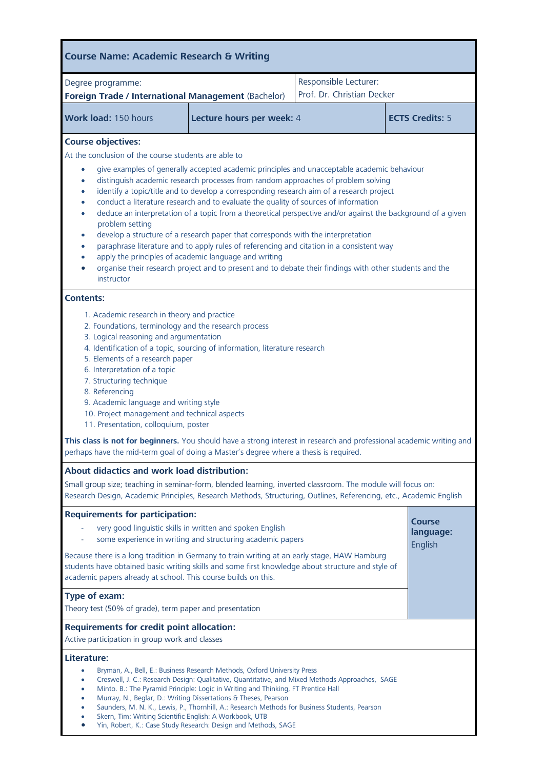| <b>Course Name: Academic Research &amp; Writing</b>                                                                                                                                                                                                                                                                                                                                                                                                                                                                                                                                                                                                                                                                                                                                                                                                                                                                                                                                                                                                                                                                                                                                                                                                                                                                                                                                                                                                                                                                             |  |                                                     |                        |  |
|---------------------------------------------------------------------------------------------------------------------------------------------------------------------------------------------------------------------------------------------------------------------------------------------------------------------------------------------------------------------------------------------------------------------------------------------------------------------------------------------------------------------------------------------------------------------------------------------------------------------------------------------------------------------------------------------------------------------------------------------------------------------------------------------------------------------------------------------------------------------------------------------------------------------------------------------------------------------------------------------------------------------------------------------------------------------------------------------------------------------------------------------------------------------------------------------------------------------------------------------------------------------------------------------------------------------------------------------------------------------------------------------------------------------------------------------------------------------------------------------------------------------------------|--|-----------------------------------------------------|------------------------|--|
| Degree programme:<br>Foreign Trade / International Management (Bachelor)                                                                                                                                                                                                                                                                                                                                                                                                                                                                                                                                                                                                                                                                                                                                                                                                                                                                                                                                                                                                                                                                                                                                                                                                                                                                                                                                                                                                                                                        |  | Responsible Lecturer:<br>Prof. Dr. Christian Decker |                        |  |
| Work load: 150 hours                                                                                                                                                                                                                                                                                                                                                                                                                                                                                                                                                                                                                                                                                                                                                                                                                                                                                                                                                                                                                                                                                                                                                                                                                                                                                                                                                                                                                                                                                                            |  |                                                     | <b>ECTS Credits: 5</b> |  |
| Lecture hours per week: 4<br><b>Course objectives:</b><br>At the conclusion of the course students are able to<br>give examples of generally accepted academic principles and unacceptable academic behaviour<br>٠<br>distinguish academic research processes from random approaches of problem solving<br>۰<br>identify a topic/title and to develop a corresponding research aim of a research project<br>$\bullet$<br>conduct a literature research and to evaluate the quality of sources of information<br>٠<br>deduce an interpretation of a topic from a theoretical perspective and/or against the background of a given<br>$\bullet$<br>problem setting<br>develop a structure of a research paper that corresponds with the interpretation<br>۰<br>paraphrase literature and to apply rules of referencing and citation in a consistent way<br>$\bullet$<br>apply the principles of academic language and writing<br>$\bullet$<br>organise their research project and to present and to debate their findings with other students and the<br>instructor<br><b>Contents:</b><br>1. Academic research in theory and practice<br>2. Foundations, terminology and the research process<br>3. Logical reasoning and argumentation<br>4. Identification of a topic, sourcing of information, literature research<br>5. Elements of a research paper<br>6. Interpretation of a topic<br>7. Structuring technique<br>8. Referencing<br>9. Academic language and writing style<br>10. Project management and technical aspects |  |                                                     |                        |  |
| This class is not for beginners. You should have a strong interest in research and professional academic writing and<br>perhaps have the mid-term goal of doing a Master's degree where a thesis is required.                                                                                                                                                                                                                                                                                                                                                                                                                                                                                                                                                                                                                                                                                                                                                                                                                                                                                                                                                                                                                                                                                                                                                                                                                                                                                                                   |  |                                                     |                        |  |
| About didactics and work load distribution:<br>Small group size; teaching in seminar-form, blended learning, inverted classroom. The module will focus on:<br>Research Design, Academic Principles, Research Methods, Structuring, Outlines, Referencing, etc., Academic English<br><b>Requirements for participation:</b>                                                                                                                                                                                                                                                                                                                                                                                                                                                                                                                                                                                                                                                                                                                                                                                                                                                                                                                                                                                                                                                                                                                                                                                                      |  |                                                     |                        |  |
| <b>Course</b><br>very good linguistic skills in written and spoken English<br>language:<br>some experience in writing and structuring academic papers<br>English<br>Because there is a long tradition in Germany to train writing at an early stage, HAW Hamburg<br>students have obtained basic writing skills and some first knowledge about structure and style of<br>academic papers already at school. This course builds on this.<br>Type of exam:<br>Theory test (50% of grade), term paper and presentation<br><b>Requirements for credit point allocation:</b>                                                                                                                                                                                                                                                                                                                                                                                                                                                                                                                                                                                                                                                                                                                                                                                                                                                                                                                                                         |  |                                                     |                        |  |
| Active participation in group work and classes<br>Literature:<br>Bryman, A., Bell, E.: Business Research Methods, Oxford University Press<br>0<br>Creswell, J. C.: Research Design: Qualitative, Quantitative, and Mixed Methods Approaches, SAGE<br>$\bullet$<br>Minto. B.: The Pyramid Principle: Logic in Writing and Thinking, FT Prentice Hall<br>$\bullet$<br>Murray, N., Beglar, D.: Writing Dissertations & Theses, Pearson<br>$\bullet$<br>Saunders, M. N. K., Lewis, P., Thornhill, A.: Research Methods for Business Students, Pearson<br>٠<br>Skern, Tim: Writing Scientific English: A Workbook, UTB<br>$\bullet$<br>Yin, Robert, K.: Case Study Research: Design and Methods, SAGE<br>$\bullet$                                                                                                                                                                                                                                                                                                                                                                                                                                                                                                                                                                                                                                                                                                                                                                                                                   |  |                                                     |                        |  |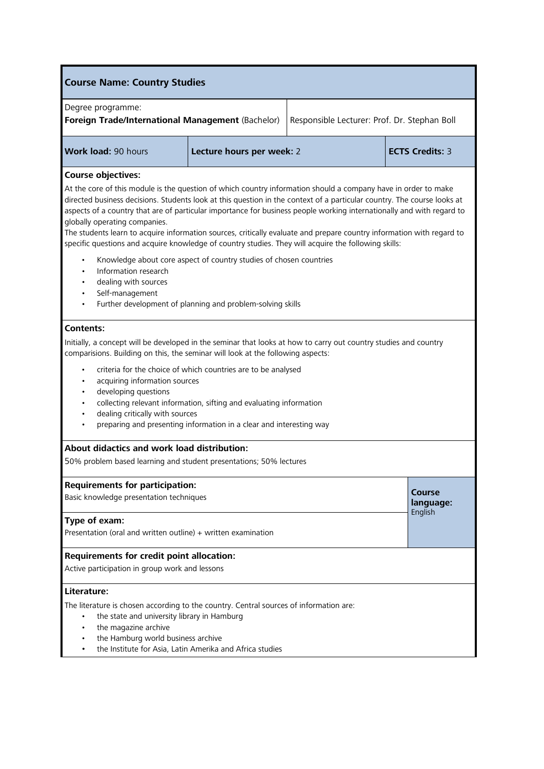| <b>Course Name: Country Studies</b>                                                                                                                                                                                                                                                                                                                                                                                                                                                                                                                                                                                                                                                                                                     |                                                                                    |                        |                                |  |
|-----------------------------------------------------------------------------------------------------------------------------------------------------------------------------------------------------------------------------------------------------------------------------------------------------------------------------------------------------------------------------------------------------------------------------------------------------------------------------------------------------------------------------------------------------------------------------------------------------------------------------------------------------------------------------------------------------------------------------------------|------------------------------------------------------------------------------------|------------------------|--------------------------------|--|
| Degree programme:<br>Foreign Trade/International Management (Bachelor)<br>Responsible Lecturer: Prof. Dr. Stephan Boll                                                                                                                                                                                                                                                                                                                                                                                                                                                                                                                                                                                                                  |                                                                                    |                        |                                |  |
| <b>Work load: 90 hours</b>                                                                                                                                                                                                                                                                                                                                                                                                                                                                                                                                                                                                                                                                                                              | Lecture hours per week: 2                                                          | <b>ECTS Credits: 3</b> |                                |  |
| <b>Course objectives:</b><br>At the core of this module is the question of which country information should a company have in order to make<br>directed business decisions. Students look at this question in the context of a particular country. The course looks at<br>aspects of a country that are of particular importance for business people working internationally and with regard to<br>globally operating companies.<br>The students learn to acquire information sources, critically evaluate and prepare country information with regard to<br>specific questions and acquire knowledge of country studies. They will acquire the following skills:<br>Knowledge about core aspect of country studies of chosen countries |                                                                                    |                        |                                |  |
| dealing with sources<br>Self-management                                                                                                                                                                                                                                                                                                                                                                                                                                                                                                                                                                                                                                                                                                 | Information research<br>Further development of planning and problem-solving skills |                        |                                |  |
| <b>Contents:</b><br>Initially, a concept will be developed in the seminar that looks at how to carry out country studies and country<br>comparisions. Building on this, the seminar will look at the following aspects:<br>criteria for the choice of which countries are to be analysed<br>acquiring information sources<br>developing questions<br>collecting relevant information, sifting and evaluating information<br>dealing critically with sources<br>preparing and presenting information in a clear and interesting way                                                                                                                                                                                                      |                                                                                    |                        |                                |  |
| About didactics and work load distribution:<br>50% problem based learning and student presentations; 50% lectures                                                                                                                                                                                                                                                                                                                                                                                                                                                                                                                                                                                                                       |                                                                                    |                        |                                |  |
| <b>Requirements for participation:</b><br>Basic knowledge presentation techniques                                                                                                                                                                                                                                                                                                                                                                                                                                                                                                                                                                                                                                                       |                                                                                    |                        | Course<br>language:<br>English |  |
| Type of exam:                                                                                                                                                                                                                                                                                                                                                                                                                                                                                                                                                                                                                                                                                                                           | Presentation (oral and written outline) $+$ written examination                    |                        |                                |  |
| Requirements for credit point allocation:<br>Active participation in group work and lessons                                                                                                                                                                                                                                                                                                                                                                                                                                                                                                                                                                                                                                             |                                                                                    |                        |                                |  |
| Literature:<br>The literature is chosen according to the country. Central sources of information are:<br>the state and university library in Hamburg<br>the magazine archive<br>the Hamburg world business archive<br>the Institute for Asia, Latin Amerika and Africa studies                                                                                                                                                                                                                                                                                                                                                                                                                                                          |                                                                                    |                        |                                |  |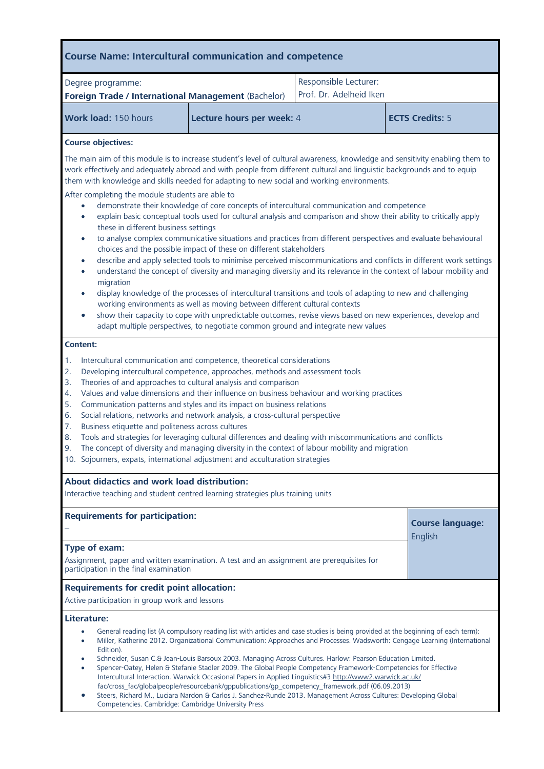| <b>Course Name: Intercultural communication and competence</b>                                                                                                                                                                                                                                                                                                                                                                                                                                                                                                                                                                                                                                                                                                                                                                                                                                                                                                                                                                                                                                                                                                                                                                                             |                           |                                                  |                                    |  |  |
|------------------------------------------------------------------------------------------------------------------------------------------------------------------------------------------------------------------------------------------------------------------------------------------------------------------------------------------------------------------------------------------------------------------------------------------------------------------------------------------------------------------------------------------------------------------------------------------------------------------------------------------------------------------------------------------------------------------------------------------------------------------------------------------------------------------------------------------------------------------------------------------------------------------------------------------------------------------------------------------------------------------------------------------------------------------------------------------------------------------------------------------------------------------------------------------------------------------------------------------------------------|---------------------------|--------------------------------------------------|------------------------------------|--|--|
| Degree programme:<br>Foreign Trade / International Management (Bachelor)                                                                                                                                                                                                                                                                                                                                                                                                                                                                                                                                                                                                                                                                                                                                                                                                                                                                                                                                                                                                                                                                                                                                                                                   |                           | Responsible Lecturer:<br>Prof. Dr. Adelheid Iken |                                    |  |  |
| Work load: 150 hours                                                                                                                                                                                                                                                                                                                                                                                                                                                                                                                                                                                                                                                                                                                                                                                                                                                                                                                                                                                                                                                                                                                                                                                                                                       | Lecture hours per week: 4 |                                                  | <b>ECTS Credits: 5</b>             |  |  |
| <b>Course objectives:</b><br>The main aim of this module is to increase student's level of cultural awareness, knowledge and sensitivity enabling them to                                                                                                                                                                                                                                                                                                                                                                                                                                                                                                                                                                                                                                                                                                                                                                                                                                                                                                                                                                                                                                                                                                  |                           |                                                  |                                    |  |  |
| work effectively and adequately abroad and with people from different cultural and linguistic backgrounds and to equip<br>them with knowledge and skills needed for adapting to new social and working environments.                                                                                                                                                                                                                                                                                                                                                                                                                                                                                                                                                                                                                                                                                                                                                                                                                                                                                                                                                                                                                                       |                           |                                                  |                                    |  |  |
| After completing the module students are able to<br>demonstrate their knowledge of core concepts of intercultural communication and competence<br>$\bullet$<br>explain basic conceptual tools used for cultural analysis and comparison and show their ability to critically apply<br>$\bullet$<br>these in different business settings<br>to analyse complex communicative situations and practices from different perspectives and evaluate behavioural<br>$\bullet$<br>choices and the possible impact of these on different stakeholders<br>describe and apply selected tools to minimise perceived miscommunications and conflicts in different work settings<br>$\bullet$<br>understand the concept of diversity and managing diversity and its relevance in the context of labour mobility and<br>$\bullet$<br>migration<br>display knowledge of the processes of intercultural transitions and tools of adapting to new and challenging<br>$\bullet$<br>working environments as well as moving between different cultural contexts<br>show their capacity to cope with unpredictable outcomes, revise views based on new experiences, develop and<br>$\bullet$<br>adapt multiple perspectives, to negotiate common ground and integrate new values |                           |                                                  |                                    |  |  |
| Content:                                                                                                                                                                                                                                                                                                                                                                                                                                                                                                                                                                                                                                                                                                                                                                                                                                                                                                                                                                                                                                                                                                                                                                                                                                                   |                           |                                                  |                                    |  |  |
| Intercultural communication and competence, theoretical considerations<br>1.<br>Developing intercultural competence, approaches, methods and assessment tools<br>2.<br>Theories of and approaches to cultural analysis and comparison<br>3.<br>Values and value dimensions and their influence on business behaviour and working practices<br>4.<br>5.<br>Communication patterns and styles and its impact on business relations<br>Social relations, networks and network analysis, a cross-cultural perspective<br>6.<br>Business etiquette and politeness across cultures<br>7.<br>Tools and strategies for leveraging cultural differences and dealing with miscommunications and conflicts<br>8.<br>The concept of diversity and managing diversity in the context of labour mobility and migration<br>9.<br>10. Sojourners, expats, international adjustment and acculturation strategies                                                                                                                                                                                                                                                                                                                                                            |                           |                                                  |                                    |  |  |
| About didactics and work load distribution:<br>Interactive teaching and student centred learning strategies plus training units                                                                                                                                                                                                                                                                                                                                                                                                                                                                                                                                                                                                                                                                                                                                                                                                                                                                                                                                                                                                                                                                                                                            |                           |                                                  |                                    |  |  |
| <b>Requirements for participation:</b>                                                                                                                                                                                                                                                                                                                                                                                                                                                                                                                                                                                                                                                                                                                                                                                                                                                                                                                                                                                                                                                                                                                                                                                                                     |                           |                                                  | <b>Course language:</b><br>English |  |  |
| Type of exam:<br>Assignment, paper and written examination. A test and an assignment are prerequisites for<br>participation in the final examination                                                                                                                                                                                                                                                                                                                                                                                                                                                                                                                                                                                                                                                                                                                                                                                                                                                                                                                                                                                                                                                                                                       |                           |                                                  |                                    |  |  |
| <b>Requirements for credit point allocation:</b><br>Active participation in group work and lessons                                                                                                                                                                                                                                                                                                                                                                                                                                                                                                                                                                                                                                                                                                                                                                                                                                                                                                                                                                                                                                                                                                                                                         |                           |                                                  |                                    |  |  |
| Literature:<br>General reading list (A compulsory reading list with articles and case studies is being provided at the beginning of each term):<br>Miller, Katherine 2012. Organizational Communication: Approaches and Processes. Wadsworth: Cengage Learning (International<br>Edition).<br>Schneider, Susan C.& Jean-Louis Barsoux 2003. Managing Across Cultures. Harlow: Pearson Education Limited.<br>Spencer-Oatey, Helen & Stefanie Stadler 2009. The Global People Competency Framework-Competencies for Effective<br>Intercultural Interaction. Warwick Occasional Papers in Applied Linguistics#3 http://www2.warwick.ac.uk/<br>fac/cross_fac/globalpeople/resourcebank/gppublications/gp_competency_framework.pdf (06.09.2013)<br>Steers, Richard M., Luciara Nardon & Carlos J. Sanchez-Runde 2013. Management Across Cultures: Developing Global<br>Competencies. Cambridge: Cambridge University Press                                                                                                                                                                                                                                                                                                                                      |                           |                                                  |                                    |  |  |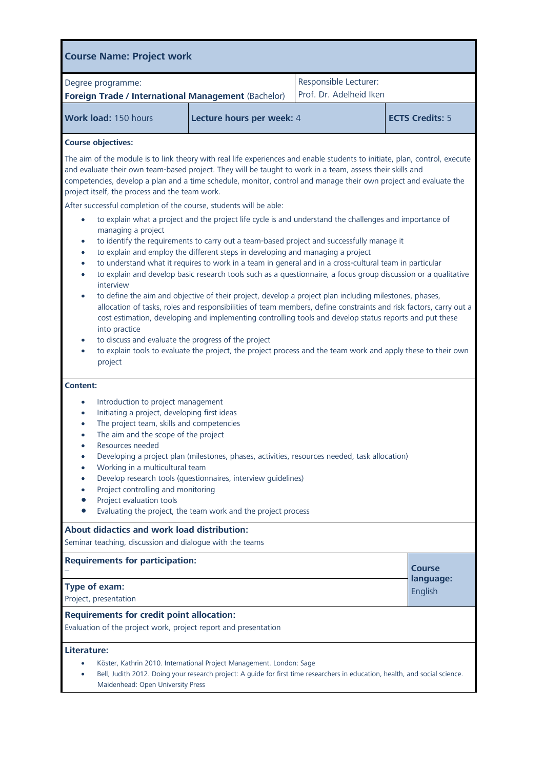| <b>Course Name: Project work</b>                                                                                                                                                                                                                                                                                                                                                                                                                                                                                                                                                                                                                                                                                                                                                                                                                                                                                                                                                                                                                                                                                                                                                                                                                                                                                                                                                                                                                                                                                                                                                                                                                                                                         |                           |                                                  |                                       |  |
|----------------------------------------------------------------------------------------------------------------------------------------------------------------------------------------------------------------------------------------------------------------------------------------------------------------------------------------------------------------------------------------------------------------------------------------------------------------------------------------------------------------------------------------------------------------------------------------------------------------------------------------------------------------------------------------------------------------------------------------------------------------------------------------------------------------------------------------------------------------------------------------------------------------------------------------------------------------------------------------------------------------------------------------------------------------------------------------------------------------------------------------------------------------------------------------------------------------------------------------------------------------------------------------------------------------------------------------------------------------------------------------------------------------------------------------------------------------------------------------------------------------------------------------------------------------------------------------------------------------------------------------------------------------------------------------------------------|---------------------------|--------------------------------------------------|---------------------------------------|--|
| Degree programme:<br>Foreign Trade / International Management (Bachelor)                                                                                                                                                                                                                                                                                                                                                                                                                                                                                                                                                                                                                                                                                                                                                                                                                                                                                                                                                                                                                                                                                                                                                                                                                                                                                                                                                                                                                                                                                                                                                                                                                                 |                           | Responsible Lecturer:<br>Prof. Dr. Adelheid Iken |                                       |  |
| Work load: 150 hours                                                                                                                                                                                                                                                                                                                                                                                                                                                                                                                                                                                                                                                                                                                                                                                                                                                                                                                                                                                                                                                                                                                                                                                                                                                                                                                                                                                                                                                                                                                                                                                                                                                                                     | Lecture hours per week: 4 |                                                  | <b>ECTS Credits: 5</b>                |  |
| <b>Course objectives:</b><br>The aim of the module is to link theory with real life experiences and enable students to initiate, plan, control, execute<br>and evaluate their own team-based project. They will be taught to work in a team, assess their skills and<br>competencies, develop a plan and a time schedule, monitor, control and manage their own project and evaluate the<br>project itself, the process and the team work.<br>After successful completion of the course, students will be able:<br>to explain what a project and the project life cycle is and understand the challenges and importance of<br>٠<br>managing a project<br>to identify the requirements to carry out a team-based project and successfully manage it<br>$\bullet$<br>to explain and employ the different steps in developing and managing a project<br>$\bullet$<br>to understand what it requires to work in a team in general and in a cross-cultural team in particular<br>$\bullet$<br>to explain and develop basic research tools such as a questionnaire, a focus group discussion or a qualitative<br>$\bullet$<br>interview<br>to define the aim and objective of their project, develop a project plan including milestones, phases,<br>$\bullet$<br>allocation of tasks, roles and responsibilities of team members, define constraints and risk factors, carry out a<br>cost estimation, developing and implementing controlling tools and develop status reports and put these<br>into practice<br>to discuss and evaluate the progress of the project<br>$\bullet$<br>to explain tools to evaluate the project, the project process and the team work and apply these to their own<br>project |                           |                                                  |                                       |  |
| Content:<br>Introduction to project management<br>$\bullet$<br>Initiating a project, developing first ideas<br>$\bullet$<br>The project team, skills and competencies<br>$\bullet$<br>The aim and the scope of the project<br>Resources needed<br>Developing a project plan (milestones, phases, activities, resources needed, task allocation)<br>$\bullet$<br>Working in a multicultural team<br>$\bullet$<br>Develop research tools (questionnaires, interview guidelines)<br>$\bullet$<br>Project controlling and monitoring<br>Project evaluation tools<br>Evaluating the project, the team work and the project process                                                                                                                                                                                                                                                                                                                                                                                                                                                                                                                                                                                                                                                                                                                                                                                                                                                                                                                                                                                                                                                                            |                           |                                                  |                                       |  |
| About didactics and work load distribution:<br>Seminar teaching, discussion and dialogue with the teams                                                                                                                                                                                                                                                                                                                                                                                                                                                                                                                                                                                                                                                                                                                                                                                                                                                                                                                                                                                                                                                                                                                                                                                                                                                                                                                                                                                                                                                                                                                                                                                                  |                           |                                                  |                                       |  |
| <b>Requirements for participation:</b><br>Type of exam:<br>Project, presentation                                                                                                                                                                                                                                                                                                                                                                                                                                                                                                                                                                                                                                                                                                                                                                                                                                                                                                                                                                                                                                                                                                                                                                                                                                                                                                                                                                                                                                                                                                                                                                                                                         |                           |                                                  | <b>Course</b><br>language:<br>English |  |
| <b>Requirements for credit point allocation:</b><br>Evaluation of the project work, project report and presentation                                                                                                                                                                                                                                                                                                                                                                                                                                                                                                                                                                                                                                                                                                                                                                                                                                                                                                                                                                                                                                                                                                                                                                                                                                                                                                                                                                                                                                                                                                                                                                                      |                           |                                                  |                                       |  |
| Literature:<br>Köster, Kathrin 2010. International Project Management. London: Sage<br>Bell, Judith 2012. Doing your research project: A guide for first time researchers in education, health, and social science.<br>Maidenhead: Open University Press                                                                                                                                                                                                                                                                                                                                                                                                                                                                                                                                                                                                                                                                                                                                                                                                                                                                                                                                                                                                                                                                                                                                                                                                                                                                                                                                                                                                                                                 |                           |                                                  |                                       |  |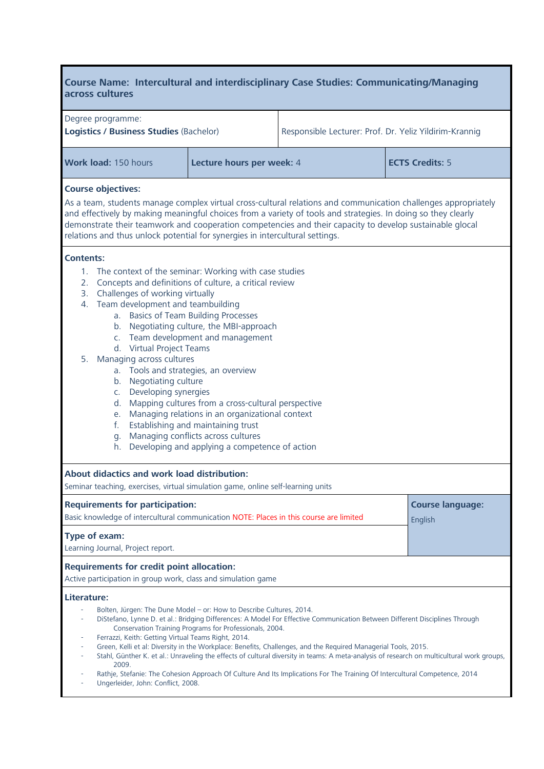## **Course Name: Intercultural and interdisciplinary Case Studies: Communicating/Managing across cultures**

| Degree programme:<br>Logistics / Business Studies (Bachelor)                                                                                                                                                                                                                                                                                                                                                                                                                                                                                                                                                                                                                                                                                                                            |                                                         | Responsible Lecturer: Prof. Dr. Yeliz Yildirim-Krannig                                                                                                                                                                                                                                                                                                                      |                                                                                                                                            |  |
|-----------------------------------------------------------------------------------------------------------------------------------------------------------------------------------------------------------------------------------------------------------------------------------------------------------------------------------------------------------------------------------------------------------------------------------------------------------------------------------------------------------------------------------------------------------------------------------------------------------------------------------------------------------------------------------------------------------------------------------------------------------------------------------------|---------------------------------------------------------|-----------------------------------------------------------------------------------------------------------------------------------------------------------------------------------------------------------------------------------------------------------------------------------------------------------------------------------------------------------------------------|--------------------------------------------------------------------------------------------------------------------------------------------|--|
| Work load: 150 hours                                                                                                                                                                                                                                                                                                                                                                                                                                                                                                                                                                                                                                                                                                                                                                    | Lecture hours per week: 4                               |                                                                                                                                                                                                                                                                                                                                                                             | <b>ECTS Credits: 5</b>                                                                                                                     |  |
| <b>Course objectives:</b>                                                                                                                                                                                                                                                                                                                                                                                                                                                                                                                                                                                                                                                                                                                                                               |                                                         |                                                                                                                                                                                                                                                                                                                                                                             |                                                                                                                                            |  |
| As a team, students manage complex virtual cross-cultural relations and communication challenges appropriately<br>and effectively by making meaningful choices from a variety of tools and strategies. In doing so they clearly<br>demonstrate their teamwork and cooperation competencies and their capacity to develop sustainable glocal<br>relations and thus unlock potential for synergies in intercultural settings.                                                                                                                                                                                                                                                                                                                                                             |                                                         |                                                                                                                                                                                                                                                                                                                                                                             |                                                                                                                                            |  |
| <b>Contents:</b><br>The context of the seminar: Working with case studies<br>1.<br>Concepts and definitions of culture, a critical review<br>2.<br>3. Challenges of working virtually<br>4. Team development and teambuilding<br>a. Basics of Team Building Processes<br>b. Negotiating culture, the MBI-approach<br>c. Team development and management<br>d. Virtual Project Teams<br>Managing across cultures<br>5.<br>a. Tools and strategies, an overview<br>b. Negotiating culture<br>c. Developing synergies<br>Mapping cultures from a cross-cultural perspective<br>d.<br>Managing relations in an organizational context<br>е.<br>Establishing and maintaining trust<br>f.<br>Managing conflicts across cultures<br>g.<br>Developing and applying a competence of action<br>h. |                                                         |                                                                                                                                                                                                                                                                                                                                                                             |                                                                                                                                            |  |
| About didactics and work load distribution:<br>Seminar teaching, exercises, virtual simulation game, online self-learning units                                                                                                                                                                                                                                                                                                                                                                                                                                                                                                                                                                                                                                                         |                                                         |                                                                                                                                                                                                                                                                                                                                                                             |                                                                                                                                            |  |
| <b>Requirements for participation:</b><br>Basic knowledge of intercultural communication NOTE: Places in this course are limited                                                                                                                                                                                                                                                                                                                                                                                                                                                                                                                                                                                                                                                        |                                                         |                                                                                                                                                                                                                                                                                                                                                                             | <b>Course language:</b><br>English                                                                                                         |  |
| Type of exam:<br>Learning Journal, Project report.                                                                                                                                                                                                                                                                                                                                                                                                                                                                                                                                                                                                                                                                                                                                      |                                                         |                                                                                                                                                                                                                                                                                                                                                                             |                                                                                                                                            |  |
| <b>Requirements for credit point allocation:</b><br>Active participation in group work, class and simulation game                                                                                                                                                                                                                                                                                                                                                                                                                                                                                                                                                                                                                                                                       |                                                         |                                                                                                                                                                                                                                                                                                                                                                             |                                                                                                                                            |  |
| Literature:<br>Bolten, Jürgen: The Dune Model - or: How to Describe Cultures, 2014.<br>Ferrazzi, Keith: Getting Virtual Teams Right, 2014.<br>2009.                                                                                                                                                                                                                                                                                                                                                                                                                                                                                                                                                                                                                                     | Conservation Training Programs for Professionals, 2004. | DiStefano, Lynne D. et al.: Bridging Differences: A Model For Effective Communication Between Different Disciplines Through<br>Green, Kelli et al: Diversity in the Workplace: Benefits, Challenges, and the Required Managerial Tools, 2015.<br>Rathje, Stefanie: The Cohesion Approach Of Culture And Its Implications For The Training Of Intercultural Competence, 2014 | Stahl, Günther K. et al.: Unraveling the effects of cultural diversity in teams: A meta-analysis of research on multicultural work groups, |  |

- Ungerleider, John: Conflict, 2008.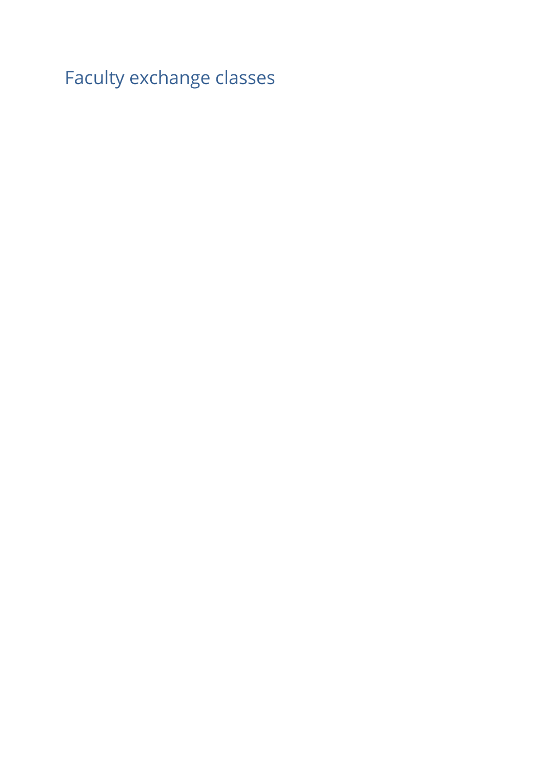Faculty exchange classes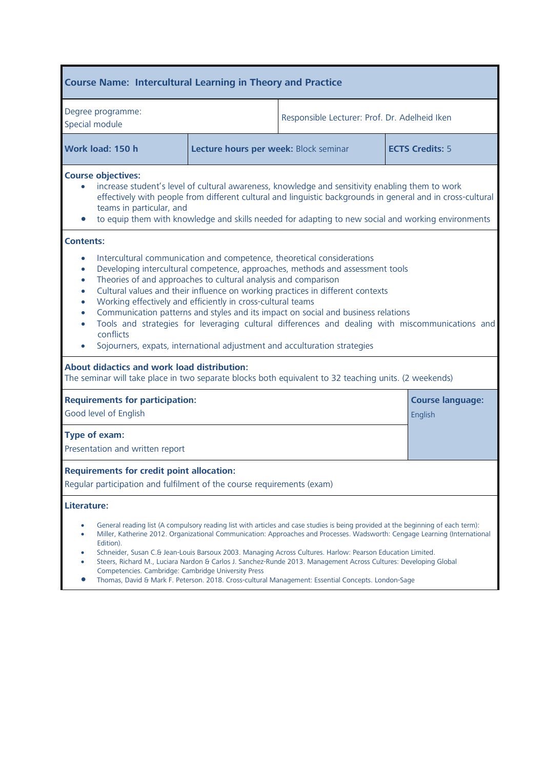| <b>Course Name: Intercultural Learning in Theory and Practice</b>                                                                                                                                                                                                                                                                                                                                                                                                                                                                                                                                                                                                                                                                                                                                |                                       |                                               |  |                        |
|--------------------------------------------------------------------------------------------------------------------------------------------------------------------------------------------------------------------------------------------------------------------------------------------------------------------------------------------------------------------------------------------------------------------------------------------------------------------------------------------------------------------------------------------------------------------------------------------------------------------------------------------------------------------------------------------------------------------------------------------------------------------------------------------------|---------------------------------------|-----------------------------------------------|--|------------------------|
| Degree programme:<br>Special module                                                                                                                                                                                                                                                                                                                                                                                                                                                                                                                                                                                                                                                                                                                                                              |                                       | Responsible Lecturer: Prof. Dr. Adelheid Iken |  |                        |
| Work load: 150 h                                                                                                                                                                                                                                                                                                                                                                                                                                                                                                                                                                                                                                                                                                                                                                                 | Lecture hours per week: Block seminar |                                               |  | <b>ECTS Credits: 5</b> |
| <b>Course objectives:</b><br>increase student's level of cultural awareness, knowledge and sensitivity enabling them to work<br>effectively with people from different cultural and linguistic backgrounds in general and in cross-cultural<br>teams in particular, and<br>to equip them with knowledge and skills needed for adapting to new social and working environments                                                                                                                                                                                                                                                                                                                                                                                                                    |                                       |                                               |  |                        |
| Intercultural communication and competence, theoretical considerations<br>$\bullet$<br>Developing intercultural competence, approaches, methods and assessment tools<br>$\bullet$<br>Theories of and approaches to cultural analysis and comparison<br>$\bullet$<br>Cultural values and their influence on working practices in different contexts<br>$\bullet$<br>Working effectively and efficiently in cross-cultural teams<br>$\bullet$<br>Communication patterns and styles and its impact on social and business relations<br>$\bullet$<br>Tools and strategies for leveraging cultural differences and dealing with miscommunications and<br>conflicts<br>Sojourners, expats, international adjustment and acculturation strategies<br><b>About didactics and work load distribution:</b> |                                       |                                               |  |                        |
| The seminar will take place in two separate blocks both equivalent to 32 teaching units. (2 weekends)<br><b>Requirements for participation:</b><br>Good level of English                                                                                                                                                                                                                                                                                                                                                                                                                                                                                                                                                                                                                         |                                       | <b>Course language:</b><br>English            |  |                        |
| Type of exam:<br>Presentation and written report                                                                                                                                                                                                                                                                                                                                                                                                                                                                                                                                                                                                                                                                                                                                                 |                                       |                                               |  |                        |
| <b>Requirements for credit point allocation:</b><br>Regular participation and fulfilment of the course requirements (exam)                                                                                                                                                                                                                                                                                                                                                                                                                                                                                                                                                                                                                                                                       |                                       |                                               |  |                        |
| Literature:                                                                                                                                                                                                                                                                                                                                                                                                                                                                                                                                                                                                                                                                                                                                                                                      |                                       |                                               |  |                        |
| General reading list (A compulsory reading list with articles and case studies is being provided at the beginning of each term):<br>۰<br>Miller, Katherine 2012. Organizational Communication: Approaches and Processes. Wadsworth: Cengage Learning (International<br>۰<br>Edition).<br>Schneider, Susan C.& Jean-Louis Barsoux 2003. Managing Across Cultures. Harlow: Pearson Education Limited.<br>Steers, Richard M., Luciara Nardon & Carlos J. Sanchez-Runde 2013. Management Across Cultures: Developing Global<br>Competencies. Cambridge: Cambridge University Press<br>Thomas, David & Mark F. Peterson. 2018. Cross-cultural Management: Essential Concepts. London-Sage                                                                                                             |                                       |                                               |  |                        |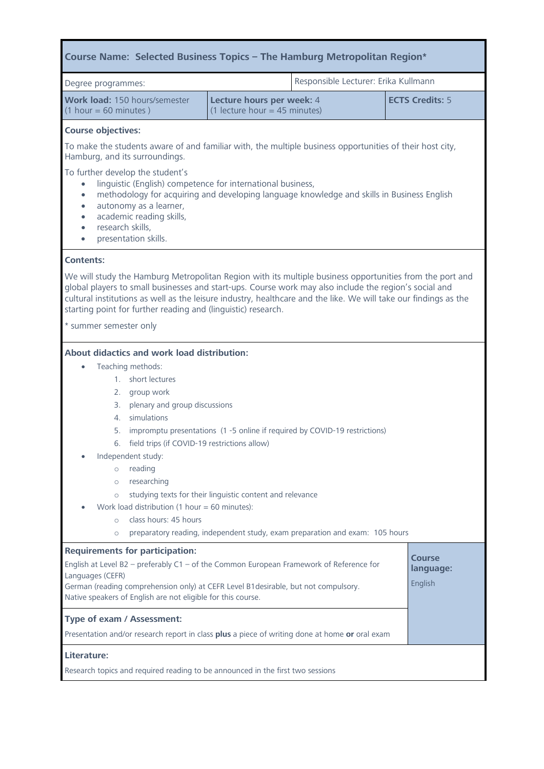| Course Name: Selected Business Topics - The Hamburg Metropolitan Region*                                                                                                                                                                                                                                                                                                                                                                                                                                                                                                                                                                   |                                                              |  |                                |
|--------------------------------------------------------------------------------------------------------------------------------------------------------------------------------------------------------------------------------------------------------------------------------------------------------------------------------------------------------------------------------------------------------------------------------------------------------------------------------------------------------------------------------------------------------------------------------------------------------------------------------------------|--------------------------------------------------------------|--|--------------------------------|
| Responsible Lecturer: Erika Kullmann<br>Degree programmes:                                                                                                                                                                                                                                                                                                                                                                                                                                                                                                                                                                                 |                                                              |  |                                |
| Work load: 150 hours/semester<br>$(1 hour = 60 minutes)$                                                                                                                                                                                                                                                                                                                                                                                                                                                                                                                                                                                   | Lecture hours per week: 4<br>$(1$ lecture hour = 45 minutes) |  | <b>ECTS Credits: 5</b>         |
| <b>Course objectives:</b>                                                                                                                                                                                                                                                                                                                                                                                                                                                                                                                                                                                                                  |                                                              |  |                                |
| To make the students aware of and familiar with, the multiple business opportunities of their host city,<br>Hamburg, and its surroundings.                                                                                                                                                                                                                                                                                                                                                                                                                                                                                                 |                                                              |  |                                |
| To further develop the student's<br>linguistic (English) competence for international business,<br>$\bullet$<br>methodology for acquiring and developing language knowledge and skills in Business English<br>$\bullet$<br>autonomy as a learner,<br>$\bullet$<br>academic reading skills,<br>$\bullet$<br>research skills,<br>$\bullet$<br>presentation skills.<br>$\bullet$                                                                                                                                                                                                                                                              |                                                              |  |                                |
| <b>Contents:</b>                                                                                                                                                                                                                                                                                                                                                                                                                                                                                                                                                                                                                           |                                                              |  |                                |
| We will study the Hamburg Metropolitan Region with its multiple business opportunities from the port and<br>global players to small businesses and start-ups. Course work may also include the region's social and<br>cultural institutions as well as the leisure industry, healthcare and the like. We will take our findings as the<br>starting point for further reading and (linguistic) research.                                                                                                                                                                                                                                    |                                                              |  |                                |
| * summer semester only                                                                                                                                                                                                                                                                                                                                                                                                                                                                                                                                                                                                                     |                                                              |  |                                |
| About didactics and work load distribution:<br>Teaching methods:<br>1. short lectures<br>2.<br>group work<br>plenary and group discussions<br>3.<br>simulations<br>4.<br>impromptu presentations (1 -5 online if required by COVID-19 restrictions)<br>5.<br>6. field trips (if COVID-19 restrictions allow)<br>Independent study:<br>reading<br>$\circ$<br>researching<br>$\circ$<br>studying texts for their linguistic content and relevance<br>$\circ$<br>Work load distribution (1 hour = 60 minutes):<br>class hours: 45 hours<br>$\circ$<br>preparatory reading, independent study, exam preparation and exam: 105 hours<br>$\circ$ |                                                              |  |                                |
| <b>Requirements for participation:</b><br>English at Level B2 - preferably $C1 - of$ the Common European Framework of Reference for<br>Languages (CEFR)<br>German (reading comprehension only) at CEFR Level B1desirable, but not compulsory.<br>Native speakers of English are not eligible for this course.<br>Type of exam / Assessment:<br>Presentation and/or research report in class plus a piece of writing done at home or oral exam                                                                                                                                                                                              |                                                              |  | Course<br>language:<br>English |
| Literature:<br>Research topics and required reading to be announced in the first two sessions                                                                                                                                                                                                                                                                                                                                                                                                                                                                                                                                              |                                                              |  |                                |